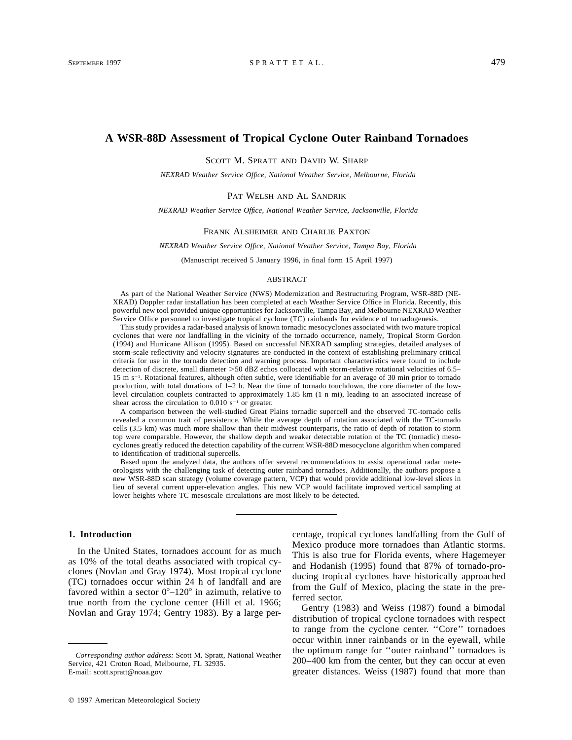# **A WSR-88D Assessment of Tropical Cyclone Outer Rainband Tornadoes**

SCOTT M. SPRATT AND DAVID W. SHARP

*NEXRAD Weather Service Office, National Weather Service, Melbourne, Florida*

## PAT WELSH AND AL SANDRIK

*NEXRAD Weather Service Office, National Weather Service, Jacksonville, Florida*

#### FRANK ALSHEIMER AND CHARLIE PAXTON

### *NEXRAD Weather Service Office, National Weather Service, Tampa Bay, Florida*

(Manuscript received 5 January 1996, in final form 15 April 1997)

### ABSTRACT

As part of the National Weather Service (NWS) Modernization and Restructuring Program, WSR-88D (NE-XRAD) Doppler radar installation has been completed at each Weather Service Office in Florida. Recently, this powerful new tool provided unique opportunities for Jacksonville, Tampa Bay, and Melbourne NEXRAD Weather Service Office personnel to investigate tropical cyclone (TC) rainbands for evidence of tornadogenesis.

This study provides a radar-based analysis of known tornadic mesocyclones associated with two mature tropical cyclones that were *not* landfalling in the vicinity of the tornado occurrence, namely, Tropical Storm Gordon (1994) and Hurricane Allison (1995). Based on successful NEXRAD sampling strategies, detailed analyses of storm-scale reflectivity and velocity signatures are conducted in the context of establishing preliminary critical criteria for use in the tornado detection and warning process. Important characteristics were found to include detection of discrete, small diameter >50 dBZ echos collocated with storm-relative rotational velocities of 6.5– 15 m s<sup>-1</sup>. Rotational features, although often subtle, were identifiable for an average of 30 min prior to tornado production, with total durations of 1–2 h. Near the time of tornado touchdown, the core diameter of the lowlevel circulation couplets contracted to approximately 1.85 km (1 n mi), leading to an associated increase of shear across the circulation to  $0.010 \text{ s}^{-1}$  or greater.

A comparison between the well-studied Great Plains tornadic supercell and the observed TC-tornado cells revealed a common trait of persistence. While the average depth of rotation associated with the TC-tornado cells (3.5 km) was much more shallow than their midwest counterparts, the ratio of depth of rotation to storm top were comparable. However, the shallow depth and weaker detectable rotation of the TC (tornadic) mesocyclones greatly reduced the detection capability of the current WSR-88D mesocyclone algorithm when compared to identification of traditional supercells.

Based upon the analyzed data, the authors offer several recommendations to assist operational radar meteorologists with the challenging task of detecting outer rainband tornadoes. Additionally, the authors propose a new WSR-88D scan strategy (volume coverage pattern, VCP) that would provide additional low-level slices in lieu of several current upper-elevation angles. This new VCP would facilitate improved vertical sampling at lower heights where TC mesoscale circulations are most likely to be detected.

# **1. Introduction**

In the United States, tornadoes account for as much as 10% of the total deaths associated with tropical cyclones (Novlan and Gray 1974). Most tropical cyclone (TC) tornadoes occur within 24 h of landfall and are favored within a sector  $0^{\circ}-120^{\circ}$  in azimuth, relative to true north from the cyclone center (Hill et al. 1966; Novlan and Gray 1974; Gentry 1983). By a large percentage, tropical cyclones landfalling from the Gulf of Mexico produce more tornadoes than Atlantic storms. This is also true for Florida events, where Hagemeyer and Hodanish (1995) found that 87% of tornado-producing tropical cyclones have historically approached from the Gulf of Mexico, placing the state in the preferred sector.

Gentry (1983) and Weiss (1987) found a bimodal distribution of tropical cyclone tornadoes with respect to range from the cyclone center. ''Core'' tornadoes occur within inner rainbands or in the eyewall, while the optimum range for ''outer rainband'' tornadoes is 200–400 km from the center, but they can occur at even greater distances. Weiss (1987) found that more than

*Corresponding author address:* Scott M. Spratt, National Weather Service, 421 Croton Road, Melbourne, FL 32935. E-mail: scott.spratt@noaa.gov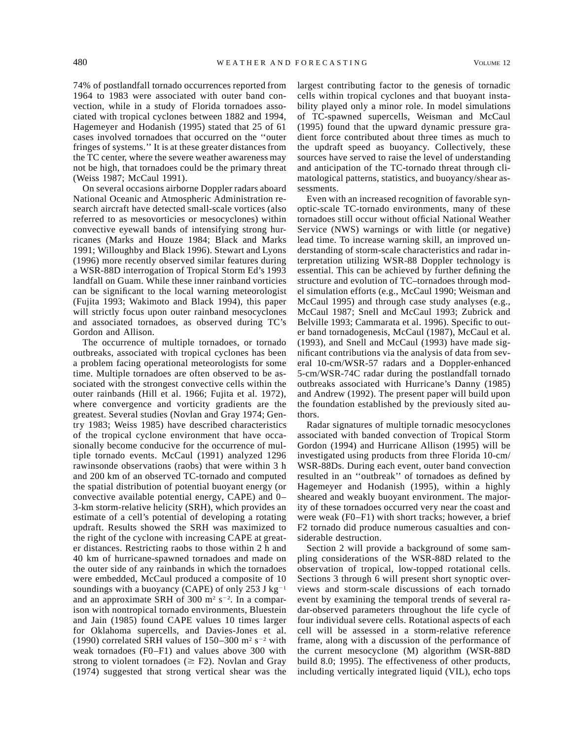74% of postlandfall tornado occurrences reported from 1964 to 1983 were associated with outer band convection, while in a study of Florida tornadoes associated with tropical cyclones between 1882 and 1994, Hagemeyer and Hodanish (1995) stated that 25 of 61 cases involved tornadoes that occurred on the ''outer fringes of systems.'' It is at these greater distances from the TC center, where the severe weather awareness may not be high, that tornadoes could be the primary threat (Weiss 1987; McCaul 1991).

On several occasions airborne Doppler radars aboard National Oceanic and Atmospheric Administration research aircraft have detected small-scale vortices (also referred to as mesovorticies or mesocyclones) within convective eyewall bands of intensifying strong hurricanes (Marks and Houze 1984; Black and Marks 1991; Willoughby and Black 1996). Stewart and Lyons (1996) more recently observed similar features during a WSR-88D interrogation of Tropical Storm Ed's 1993 landfall on Guam. While these inner rainband vorticies can be significant to the local warning meteorologist (Fujita 1993; Wakimoto and Black 1994), this paper will strictly focus upon outer rainband mesocyclones and associated tornadoes, as observed during TC's Gordon and Allison.

The occurrence of multiple tornadoes, or tornado outbreaks, associated with tropical cyclones has been a problem facing operational meteorologists for some time. Multiple tornadoes are often observed to be associated with the strongest convective cells within the outer rainbands (Hill et al. 1966; Fujita et al. 1972), where convergence and vorticity gradients are the greatest. Several studies (Novlan and Gray 1974; Gentry 1983; Weiss 1985) have described characteristics of the tropical cyclone environment that have occasionally become conducive for the occurrence of multiple tornado events. McCaul (1991) analyzed 1296 rawinsonde observations (raobs) that were within 3 h and 200 km of an observed TC-tornado and computed the spatial distribution of potential buoyant energy (or convective available potential energy, CAPE) and 0– 3-km storm-relative helicity (SRH), which provides an estimate of a cell's potential of developing a rotating updraft. Results showed the SRH was maximized to the right of the cyclone with increasing CAPE at greater distances. Restricting raobs to those within 2 h and 40 km of hurricane-spawned tornadoes and made on the outer side of any rainbands in which the tornadoes were embedded, McCaul produced a composite of 10 soundings with a buoyancy (CAPE) of only 253 J kg<sup>-1</sup> and an approximate SRH of 300 m<sup>2</sup> s<sup>-2</sup>. In a comparison with nontropical tornado environments, Bluestein and Jain (1985) found CAPE values 10 times larger for Oklahoma supercells, and Davies-Jones et al. (1990) correlated SRH values of  $150-300$  m<sup>2</sup> s<sup>-2</sup> with weak tornadoes (F0–F1) and values above 300 with strong to violent tornadoes ( $\geq$  F2). Novlan and Gray (1974) suggested that strong vertical shear was the

largest contributing factor to the genesis of tornadic cells within tropical cyclones and that buoyant instability played only a minor role. In model simulations of TC-spawned supercells, Weisman and McCaul (1995) found that the upward dynamic pressure gradient force contributed about three times as much to the updraft speed as buoyancy. Collectively, these sources have served to raise the level of understanding and anticipation of the TC-tornado threat through climatological patterns, statistics, and buoyancy/shear assessments.

Even with an increased recognition of favorable synoptic-scale TC-tornado environments, many of these tornadoes still occur without official National Weather Service (NWS) warnings or with little (or negative) lead time. To increase warning skill, an improved understanding of storm-scale characteristics and radar interpretation utilizing WSR-88 Doppler technology is essential. This can be achieved by further defining the structure and evolution of TC–tornadoes through model simulation efforts (e.g., McCaul 1990; Weisman and McCaul 1995) and through case study analyses (e.g., McCaul 1987; Snell and McCaul 1993; Zubrick and Belville 1993; Cammarata et al. 1996). Specific to outer band tornadogenesis, McCaul (1987), McCaul et al. (1993), and Snell and McCaul (1993) have made significant contributions via the analysis of data from several 10-cm/WSR-57 radars and a Doppler-enhanced 5-cm/WSR-74C radar during the postlandfall tornado outbreaks associated with Hurricane's Danny (1985) and Andrew (1992). The present paper will build upon the foundation established by the previously sited authors.

Radar signatures of multiple tornadic mesocyclones associated with banded convection of Tropical Storm Gordon (1994) and Hurricane Allison (1995) will be investigated using products from three Florida 10-cm/ WSR-88Ds. During each event, outer band convection resulted in an ''outbreak'' of tornadoes as defined by Hagemeyer and Hodanish (1995), within a highly sheared and weakly buoyant environment. The majority of these tornadoes occurred very near the coast and were weak (F0–F1) with short tracks; however, a brief F2 tornado did produce numerous casualties and considerable destruction.

Section 2 will provide a background of some sampling considerations of the WSR-88D related to the observation of tropical, low-topped rotational cells. Sections 3 through 6 will present short synoptic overviews and storm-scale discussions of each tornado event by examining the temporal trends of several radar-observed parameters throughout the life cycle of four individual severe cells. Rotational aspects of each cell will be assessed in a storm-relative reference frame, along with a discussion of the performance of the current mesocyclone (M) algorithm (WSR-88D build 8.0; 1995). The effectiveness of other products, including vertically integrated liquid (VIL), echo tops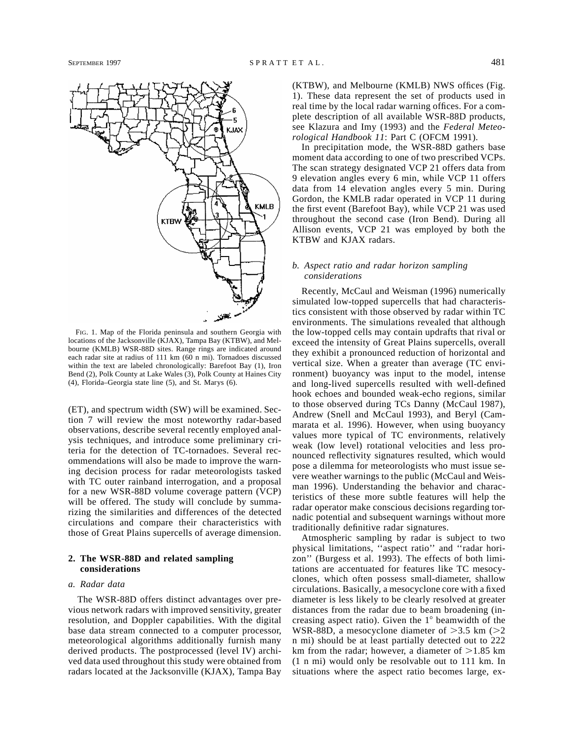

FIG. 1. Map of the Florida peninsula and southern Georgia with locations of the Jacksonville (KJAX), Tampa Bay (KTBW), and Melbourne (KMLB) WSR-88D sites. Range rings are indicated around each radar site at radius of 111 km (60 n mi). Tornadoes discussed within the text are labeled chronologically: Barefoot Bay (1), Iron Bend (2), Polk County at Lake Wales (3), Polk County at Haines City (4), Florida–Georgia state line (5), and St. Marys (6).

(ET), and spectrum width (SW) will be examined. Section 7 will review the most noteworthy radar-based observations, describe several recently employed analysis techniques, and introduce some preliminary criteria for the detection of TC-tornadoes. Several recommendations will also be made to improve the warning decision process for radar meteorologists tasked with TC outer rainband interrogation, and a proposal for a new WSR-88D volume coverage pattern (VCP) will be offered. The study will conclude by summarizing the similarities and differences of the detected circulations and compare their characteristics with those of Great Plains supercells of average dimension.

# **2. The WSR-88D and related sampling considerations**

# *a. Radar data*

The WSR-88D offers distinct advantages over previous network radars with improved sensitivity, greater resolution, and Doppler capabilities. With the digital base data stream connected to a computer processor, meteorological algorithms additionally furnish many derived products. The postprocessed (level IV) archived data used throughout this study were obtained from radars located at the Jacksonville (KJAX), Tampa Bay

(KTBW), and Melbourne (KMLB) NWS offices (Fig. 1). These data represent the set of products used in real time by the local radar warning offices. For a complete description of all available WSR-88D products, see Klazura and Imy (1993) and the *Federal Meteorological Handbook 11*: Part C (OFCM 1991).

In precipitation mode, the WSR-88D gathers base moment data according to one of two prescribed VCPs. The scan strategy designated VCP 21 offers data from 9 elevation angles every 6 min, while VCP 11 offers data from 14 elevation angles every 5 min. During Gordon, the KMLB radar operated in VCP 11 during the first event (Barefoot Bay), while VCP 21 was used throughout the second case (Iron Bend). During all Allison events, VCP 21 was employed by both the KTBW and KJAX radars.

# *b. Aspect ratio and radar horizon sampling considerations*

Recently, McCaul and Weisman (1996) numerically simulated low-topped supercells that had characteristics consistent with those observed by radar within TC environments. The simulations revealed that although the low-topped cells may contain updrafts that rival or exceed the intensity of Great Plains supercells, overall they exhibit a pronounced reduction of horizontal and vertical size. When a greater than average (TC environment) buoyancy was input to the model, intense and long-lived supercells resulted with well-defined hook echoes and bounded weak-echo regions, similar to those observed during TCs Danny (McCaul 1987), Andrew (Snell and McCaul 1993), and Beryl (Cammarata et al. 1996). However, when using buoyancy values more typical of TC environments, relatively weak (low level) rotational velocities and less pronounced reflectivity signatures resulted, which would pose a dilemma for meteorologists who must issue severe weather warnings to the public (McCaul and Weisman 1996). Understanding the behavior and characteristics of these more subtle features will help the radar operator make conscious decisions regarding tornadic potential and subsequent warnings without more traditionally definitive radar signatures.

Atmospheric sampling by radar is subject to two physical limitations, ''aspect ratio'' and ''radar horizon'' (Burgess et al. 1993). The effects of both limitations are accentuated for features like TC mesocyclones, which often possess small-diameter, shallow circulations. Basically, a mesocyclone core with a fixed diameter is less likely to be clearly resolved at greater distances from the radar due to beam broadening (increasing aspect ratio). Given the  $1^\circ$  beamwidth of the WSR-88D, a mesocyclone diameter of  $>3.5$  km ( $>2$ ) n mi) should be at least partially detected out to 222 km from the radar; however, a diameter of  $>1.85$  km (1 n mi) would only be resolvable out to 111 km. In situations where the aspect ratio becomes large, ex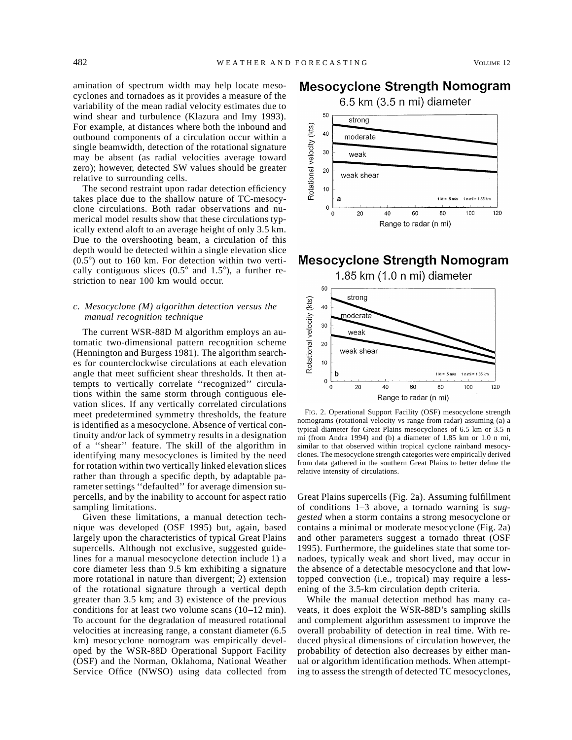amination of spectrum width may help locate mesocyclones and tornadoes as it provides a measure of the variability of the mean radial velocity estimates due to wind shear and turbulence (Klazura and Imy 1993). For example, at distances where both the inbound and outbound components of a circulation occur within a single beamwidth, detection of the rotational signature may be absent (as radial velocities average toward zero); however, detected SW values should be greater relative to surrounding cells.

The second restraint upon radar detection efficiency takes place due to the shallow nature of TC-mesocyclone circulations. Both radar observations and numerical model results show that these circulations typically extend aloft to an average height of only 3.5 km. Due to the overshooting beam, a circulation of this depth would be detected within a single elevation slice  $(0.5^{\circ})$  out to 160 km. For detection within two vertically contiguous slices  $(0.5^{\circ}$  and  $1.5^{\circ})$ , a further restriction to near 100 km would occur.

# *c. Mesocyclone (M) algorithm detection versus the manual recognition technique*

The current WSR-88D M algorithm employs an automatic two-dimensional pattern recognition scheme (Hennington and Burgess 1981). The algorithm searches for counterclockwise circulations at each elevation angle that meet sufficient shear thresholds. It then attempts to vertically correlate ''recognized'' circulations within the same storm through contiguous elevation slices. If any vertically correlated circulations meet predetermined symmetry thresholds, the feature is identified as a mesocyclone. Absence of vertical continuity and/or lack of symmetry results in a designation of a ''shear'' feature. The skill of the algorithm in identifying many mesocyclones is limited by the need for rotation within two vertically linked elevation slices rather than through a specific depth, by adaptable parameter settings ''defaulted'' for average dimension supercells, and by the inability to account for aspect ratio sampling limitations.

Given these limitations, a manual detection technique was developed (OSF 1995) but, again, based largely upon the characteristics of typical Great Plains supercells. Although not exclusive, suggested guidelines for a manual mesocyclone detection include 1) a core diameter less than 9.5 km exhibiting a signature more rotational in nature than divergent; 2) extension of the rotational signature through a vertical depth greater than 3.5 km; and 3) existence of the previous conditions for at least two volume scans (10–12 min). To account for the degradation of measured rotational velocities at increasing range, a constant diameter (6.5 km) mesocyclone nomogram was empirically developed by the WSR-88D Operational Support Facility (OSF) and the Norman, Oklahoma, National Weather Service Office (NWSO) using data collected from

# Mesocyclone Strength Nomogram

 $6.5$  km  $(3.5$  n mi) diameter



# Mesocyclone Strength Nomogram



FIG. 2. Operational Support Facility (OSF) mesocyclone strength nomograms (rotational velocity vs range from radar) assuming (a) a typical diameter for Great Plains mesocyclones of 6.5 km or 3.5 n mi (from Andra 1994) and (b) a diameter of 1.85 km or 1.0 n mi, similar to that observed within tropical cyclone rainband mesocyclones. The mesocyclone strength categories were empirically derived from data gathered in the southern Great Plains to better define the relative intensity of circulations.

Great Plains supercells (Fig. 2a). Assuming fulfillment of conditions 1–3 above, a tornado warning is *suggested* when a storm contains a strong mesocyclone or contains a minimal or moderate mesocyclone (Fig. 2a) and other parameters suggest a tornado threat (OSF 1995). Furthermore, the guidelines state that some tornadoes, typically weak and short lived, may occur in the absence of a detectable mesocyclone and that lowtopped convection (i.e., tropical) may require a lessening of the 3.5-km circulation depth criteria.

While the manual detection method has many caveats, it does exploit the WSR-88D's sampling skills and complement algorithm assessment to improve the overall probability of detection in real time. With reduced physical dimensions of circulation however, the probability of detection also decreases by either manual or algorithm identification methods. When attempting to assess the strength of detected TC mesocyclones,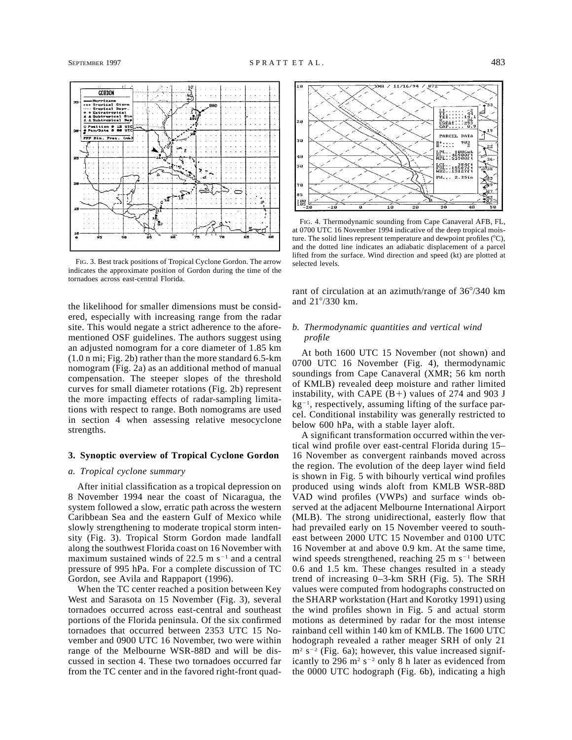

FIG. 3. Best track positions of Tropical Cyclone Gordon. The arrow indicates the approximate position of Gordon during the time of the tornadoes across east-central Florida.

the likelihood for smaller dimensions must be considered, especially with increasing range from the radar site. This would negate a strict adherence to the aforementioned OSF guidelines. The authors suggest using an adjusted nomogram for a core diameter of 1.85 km (1.0 n mi; Fig. 2b) rather than the more standard 6.5-km nomogram (Fig. 2a) as an additional method of manual compensation. The steeper slopes of the threshold curves for small diameter rotations (Fig. 2b) represent the more impacting effects of radar-sampling limitations with respect to range. Both nomograms are used in section 4 when assessing relative mesocyclone strengths.

## **3. Synoptic overview of Tropical Cyclone Gordon**

# *a. Tropical cyclone summary*

After initial classification as a tropical depression on 8 November 1994 near the coast of Nicaragua, the system followed a slow, erratic path across the western Caribbean Sea and the eastern Gulf of Mexico while slowly strengthening to moderate tropical storm intensity (Fig. 3). Tropical Storm Gordon made landfall along the southwest Florida coast on 16 November with maximum sustained winds of  $22.5 \text{ m s}^{-1}$  and a central pressure of 995 hPa. For a complete discussion of TC Gordon, see Avila and Rappaport (1996).

When the TC center reached a position between Key West and Sarasota on 15 November (Fig. 3), several tornadoes occurred across east-central and southeast portions of the Florida peninsula. Of the six confirmed tornadoes that occurred between 2353 UTC 15 November and 0900 UTC 16 November, two were within range of the Melbourne WSR-88D and will be discussed in section 4. These two tornadoes occurred far from the TC center and in the favored right-front quad-



FIG. 4. Thermodynamic sounding from Cape Canaveral AFB, FL, at 0700 UTC 16 November 1994 indicative of the deep tropical moisture. The solid lines represent temperature and dewpoint profiles  $({}^{\circ}C)$ , and the dotted line indicates an adiabatic displacement of a parcel lifted from the surface. Wind direction and speed (kt) are plotted at selected levels.

rant of circulation at an azimuth/range of  $36^{\circ}/340$  km and  $21^{\circ}/330$  km.

# *b. Thermodynamic quantities and vertical wind profile*

At both 1600 UTC 15 November (not shown) and 0700 UTC 16 November (Fig. 4), thermodynamic soundings from Cape Canaveral (XMR; 56 km north of KMLB) revealed deep moisture and rather limited instability, with CAPE  $(B+)$  values of 274 and 903 J  $kg<sup>-1</sup>$ , respectively, assuming lifting of the surface parcel. Conditional instability was generally restricted to below 600 hPa, with a stable layer aloft.

A significant transformation occurred within the vertical wind profile over east-central Florida during 15– 16 November as convergent rainbands moved across the region. The evolution of the deep layer wind field is shown in Fig. 5 with bihourly vertical wind profiles produced using winds aloft from KMLB WSR-88D VAD wind profiles (VWPs) and surface winds observed at the adjacent Melbourne International Airport (MLB). The strong unidirectional, easterly flow that had prevailed early on 15 November veered to southeast between 2000 UTC 15 November and 0100 UTC 16 November at and above 0.9 km. At the same time, wind speeds strengthened, reaching  $25 \text{ m s}^{-1}$  between 0.6 and 1.5 km. These changes resulted in a steady trend of increasing 0–3-km SRH (Fig. 5). The SRH values were computed from hodographs constructed on the SHARP workstation (Hart and Korotky 1991) using the wind profiles shown in Fig. 5 and actual storm motions as determined by radar for the most intense rainband cell within 140 km of KMLB. The 1600 UTC hodograph revealed a rather meager SRH of only 21  $m<sup>2</sup> s<sup>-2</sup>$  (Fig. 6a); however, this value increased significantly to 296  $m^2 s^{-2}$  only 8 h later as evidenced from the 0000 UTC hodograph (Fig. 6b), indicating a high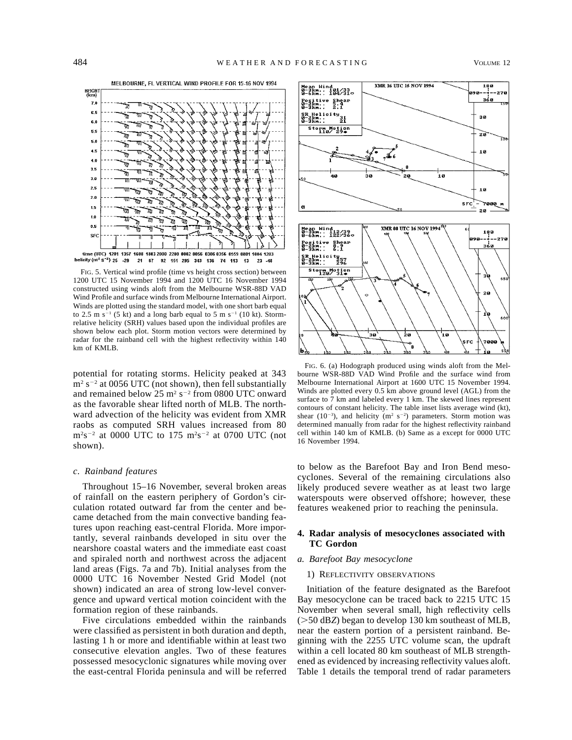

FIG. 5. Vertical wind profile (time vs height cross section) between 1200 UTC 15 November 1994 and 1200 UTC 16 November 1994 constructed using winds aloft from the Melbourne WSR-88D VAD Wind Profile and surface winds from Melbourne International Airport. Winds are plotted using the standard model, with one short barb equal to 2.5 m s<sup>-1</sup> (5 kt) and a long barb equal to 5 m s<sup>-1</sup> (10 kt). Stormrelative helicity (SRH) values based upon the individual profiles are shown below each plot. Storm motion vectors were determined by radar for the rainband cell with the highest reflectivity within 140 km of KMLB.

potential for rotating storms. Helicity peaked at 343  $m<sup>2</sup> s<sup>-2</sup>$  at 0056 UTC (not shown), then fell substantially and remained below  $25 \text{ m}^2 \text{ s}^{-2}$  from 0800 UTC onward as the favorable shear lifted north of MLB. The northward advection of the helicity was evident from XMR raobs as computed SRH values increased from 80  $\rm m^2s^{-2}$  at 0000 UTC to 175  $\rm m^2s^{-2}$  at 0700 UTC (not shown).

# *c. Rainband features*

Throughout 15–16 November, several broken areas of rainfall on the eastern periphery of Gordon's circulation rotated outward far from the center and became detached from the main convective banding features upon reaching east-central Florida. More importantly, several rainbands developed in situ over the nearshore coastal waters and the immediate east coast and spiraled north and northwest across the adjacent land areas (Figs. 7a and 7b). Initial analyses from the 0000 UTC 16 November Nested Grid Model (not shown) indicated an area of strong low-level convergence and upward vertical motion coincident with the formation region of these rainbands.

Five circulations embedded within the rainbands were classified as persistent in both duration and depth, lasting 1 h or more and identifiable within at least two consecutive elevation angles. Two of these features possessed mesocyclonic signatures while moving over the east-central Florida peninsula and will be referred



FIG. 6. (a) Hodograph produced using winds aloft from the Melbourne WSR-88D VAD Wind Profile and the surface wind from Melbourne International Airport at 1600 UTC 15 November 1994. Winds are plotted every 0.5 km above ground level (AGL) from the surface to  $7 \text{ km}$  and labeled every 1 km. The skewed lines represent contours of constant helicity. The table inset lists average wind (kt), shear (10<sup>-3</sup>), and helicity ( $m^2$  s<sup>-2</sup>) parameters. Storm motion was determined manually from radar for the highest reflectivity rainband cell within 140 km of KMLB. (b) Same as a except for 0000 UTC 16 November 1994.

to below as the Barefoot Bay and Iron Bend mesocyclones. Several of the remaining circulations also likely produced severe weather as at least two large waterspouts were observed offshore; however, these features weakened prior to reaching the peninsula.

# **4. Radar analysis of mesocyclones associated with TC Gordon**

## *a. Barefoot Bay mesocyclone*

# 1) REFLECTIVITY OBSERVATIONS

Initiation of the feature designated as the Barefoot Bay mesocyclone can be traced back to 2215 UTC 15 November when several small, high reflectivity cells ( $>$ 50 dB*Z*) began to develop 130 km southeast of MLB, near the eastern portion of a persistent rainband. Beginning with the 2255 UTC volume scan, the updraft within a cell located 80 km southeast of MLB strengthened as evidenced by increasing reflectivity values aloft. Table 1 details the temporal trend of radar parameters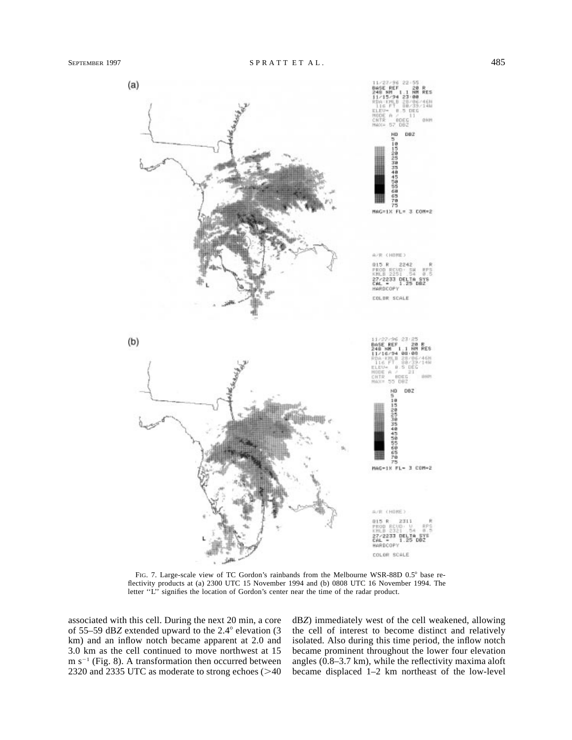

FIG. 7. Large-scale view of TC Gordon's rainbands from the Melbourne WSR-88D 0.5° base reflectivity products at (a) 2300 UTC 15 November 1994 and (b) 0808 UTC 16 November 1994. The letter "L" signifies the location of Gordon's center near the time of the radar product.

associated with this cell. During the next 20 min, a core of 55–59 dB*Z* extended upward to the  $2.4^{\circ}$  elevation (3) km) and an inflow notch became apparent at 2.0 and 3.0 km as the cell continued to move northwest at 15 m  $s^{-1}$  (Fig. 8). A transformation then occurred between 2320 and 2335 UTC as moderate to strong echoes  $($  >40 dB*Z*) immediately west of the cell weakened, allowing the cell of interest to become distinct and relatively isolated. Also during this time period, the inflow notch became prominent throughout the lower four elevation angles (0.8–3.7 km), while the reflectivity maxima aloft became displaced 1–2 km northeast of the low-level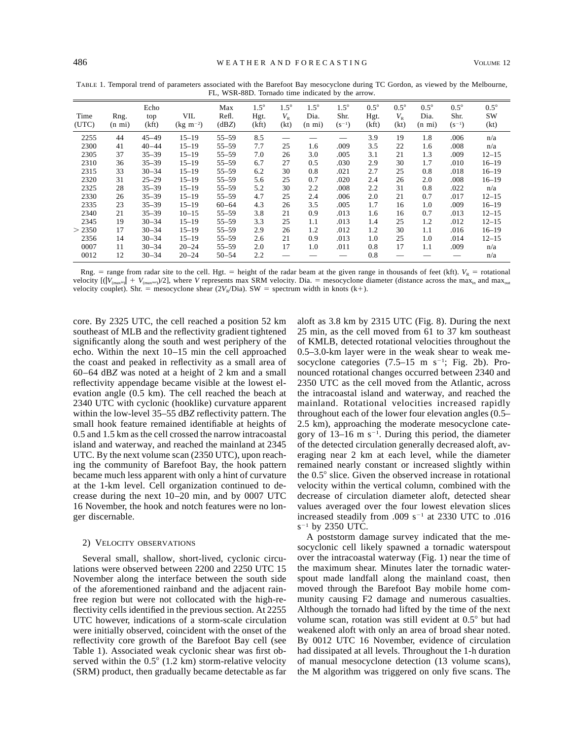|               |                          |                      |                                | $1 - 1$ , were contributed the material by the arrow. |                              |                                |                                         |                                   |                              |                                  |                                         |                                   |                                    |
|---------------|--------------------------|----------------------|--------------------------------|-------------------------------------------------------|------------------------------|--------------------------------|-----------------------------------------|-----------------------------------|------------------------------|----------------------------------|-----------------------------------------|-----------------------------------|------------------------------------|
| Time<br>(UTC) | Rng.<br>$(n \text{ mi})$ | Echo<br>top<br>(kft) | <b>VIL</b><br>$(kg \; m^{-2})$ | Max<br>Refl.<br>(dBZ)                                 | $1.5^\circ$<br>Hgt.<br>(kft) | $1.5^\circ$<br>$V_{R}$<br>(kt) | $1.5^\circ$<br>Dia.<br>$(n \text{ mi})$ | $1.5^\circ$<br>Shr.<br>$(S^{-1})$ | $0.5^\circ$<br>Hgt.<br>(kft) | $0.5^{\circ}$<br>$V_{R}$<br>(kt) | $0.5^\circ$<br>Dia.<br>$(n \text{ mi})$ | $0.5^\circ$<br>Shr.<br>$(s^{-1})$ | $0.5^{\circ}$<br><b>SW</b><br>(kt) |
| 2255          | 44                       | $45 - 49$            | $15 - 19$                      | $55 - 59$                                             | 8.5                          |                                |                                         |                                   | 3.9                          | 19                               | 1.8                                     | .006                              | n/a                                |
| 2300          | 41                       | 40–44                | $15 - 19$                      | $55 - 59$                                             | 7.7                          | 25                             | 1.6                                     | .009                              | 3.5                          | 22                               | 1.6                                     | .008                              | n/a                                |
| 2305          | 37                       | $35 - 39$            | $15 - 19$                      | $55 - 59$                                             | 7.0                          | 26                             | 3.0                                     | .005                              | 3.1                          | 21                               | 1.3                                     | .009                              | $12 - 15$                          |
| 2310          | 36                       | $35 - 39$            | $15 - 19$                      | $55 - 59$                                             | 6.7                          | 27                             | 0.5                                     | .030                              | 2.9                          | 30                               | 1.7                                     | .010                              | $16 - 19$                          |
| 2315          | 33                       | $30 - 34$            | $15 - 19$                      | $55 - 59$                                             | 6.2                          | 30                             | 0.8                                     | .021                              | 2.7                          | 25                               | 0.8                                     | .018                              | $16 - 19$                          |
| 2320          | 31                       | $25 - 29$            | $15 - 19$                      | $55 - 59$                                             | 5.6                          | 25                             | 0.7                                     | .020                              | 2.4                          | 26                               | 2.0                                     | .008                              | $16 - 19$                          |
| 2325          | 28                       | $35 - 39$            | $15 - 19$                      | $55 - 59$                                             | 5.2                          | 30                             | 2.2                                     | .008                              | 2.2                          | 31                               | 0.8                                     | .022                              | n/a                                |
| 2330          | 26                       | $35 - 39$            | $15 - 19$                      | $55 - 59$                                             | 4.7                          | 25                             | 2.4                                     | .006                              | 2.0                          | 21                               | 0.7                                     | .017                              | $12 - 15$                          |
| 2335          | 23                       | $35 - 39$            | $15 - 19$                      | $60 - 64$                                             | 4.3                          | 26                             | 3.5                                     | .005                              | 1.7                          | 16                               | 1.0                                     | .009                              | $16 - 19$                          |
| 2340          | 21                       | $35 - 39$            | $10 - 15$                      | $55 - 59$                                             | 3.8                          | 21                             | 0.9                                     | .013                              | 1.6                          | 16                               | 0.7                                     | .013                              | $12 - 15$                          |
| 2345          | 19                       | $30 - 34$            | $15 - 19$                      | $55 - 59$                                             | 3.3                          | 25                             | 1.1                                     | .013                              | 1.4                          | 25                               | 1.2                                     | .012                              | $12 - 15$                          |
| > 2350        | 17                       | $30 - 34$            | $15 - 19$                      | $55 - 59$                                             | 2.9                          | 26                             | 1.2                                     | .012                              | 1.2                          | 30                               | 1.1                                     | .016                              | $16 - 19$                          |
| 2356          | 14                       | $30 - 34$            | $15 - 19$                      | $55 - 59$                                             | 2.6                          | 21                             | 0.9                                     | .013                              | 1.0                          | 25                               | 1.0                                     | .014                              | $12 - 15$                          |
| 0007          | 11                       | $30 - 34$            | $20 - 24$                      | $55 - 59$                                             | 2.0                          | 17                             | 1.0                                     | .011                              | 0.8                          | 17                               | 1.1                                     | .009                              | n/a                                |
| 0012          | 12                       | $30 - 34$            | $20 - 24$                      | $50 - 54$                                             | 2.2                          |                                |                                         |                                   | 0.8                          |                                  |                                         |                                   | n/a                                |

TABLE 1. Temporal trend of parameters associated with the Barefoot Bay mesocyclone during TC Gordon, as viewed by the Melbourne, FL, WSR-88D. Tornado time indicated by the arrow

Rng.  $=$  range from radar site to the cell. Hgt.  $=$  height of the radar beam at the given range in thousands of feet (kft).  $V_R =$  rotational velocity  $[(V_{\text{max}} - V_{\text{max}})/2]$ , where *V* represents max SRM velocity. Dia. = mesocyclone diameter (distance across the max<sub>in</sub> and max<sub>out</sub> velocity couplet). Shr. = mesocyclone shear  $(2V_R/Dia)$ . SW = spectrum width in knots (k+).

core. By 2325 UTC, the cell reached a position 52 km southeast of MLB and the reflectivity gradient tightened significantly along the south and west periphery of the echo. Within the next 10–15 min the cell approached the coast and peaked in reflectivity as a small area of 60–64 dB*Z* was noted at a height of 2 km and a small reflectivity appendage became visible at the lowest elevation angle (0.5 km). The cell reached the beach at 2340 UTC with cyclonic (hooklike) curvature apparent within the low-level 35–55 dB*Z* reflectivity pattern. The small hook feature remained identifiable at heights of 0.5 and 1.5 km as the cell crossed the narrow intracoastal island and waterway, and reached the mainland at 2345 UTC. By the next volume scan (2350 UTC), upon reaching the community of Barefoot Bay, the hook pattern became much less apparent with only a hint of curvature at the 1-km level. Cell organization continued to decrease during the next 10–20 min, and by 0007 UTC 16 November, the hook and notch features were no longer discernable.

#### 2) VELOCITY OBSERVATIONS

Several small, shallow, short-lived, cyclonic circulations were observed between 2200 and 2250 UTC 15 November along the interface between the south side of the aforementioned rainband and the adjacent rainfree region but were not collocated with the high-reflectivity cells identified in the previous section. At 2255 UTC however, indications of a storm-scale circulation were initially observed, coincident with the onset of the reflectivity core growth of the Barefoot Bay cell (see Table 1). Associated weak cyclonic shear was first observed within the  $0.5^{\circ}$  (1.2 km) storm-relative velocity (SRM) product, then gradually became detectable as far

aloft as 3.8 km by 2315 UTC (Fig. 8). During the next 25 min, as the cell moved from 61 to 37 km southeast of KMLB, detected rotational velocities throughout the 0.5–3.0-km layer were in the weak shear to weak mesocyclone categories  $(7.5-15 \text{ m s}^{-1})$ ; Fig. 2b). Pronounced rotational changes occurred between 2340 and 2350 UTC as the cell moved from the Atlantic, across the intracoastal island and waterway, and reached the mainland. Rotational velocities increased rapidly throughout each of the lower four elevation angles (0.5– 2.5 km), approaching the moderate mesocyclone category of  $13-16$  m s<sup>-1</sup>. During this period, the diameter of the detected circulation generally decreased aloft, averaging near 2 km at each level, while the diameter remained nearly constant or increased slightly within the  $0.5^{\circ}$  slice. Given the observed increase in rotational velocity within the vertical column, combined with the decrease of circulation diameter aloft, detected shear values averaged over the four lowest elevation slices increased steadily from .009  $s^{-1}$  at 2330 UTC to .016  $s^{-1}$  by 2350 UTC.

A poststorm damage survey indicated that the mesocyclonic cell likely spawned a tornadic waterspout over the intracoastal waterway (Fig. 1) near the time of the maximum shear. Minutes later the tornadic waterspout made landfall along the mainland coast, then moved through the Barefoot Bay mobile home community causing F2 damage and numerous casualties. Although the tornado had lifted by the time of the next volume scan, rotation was still evident at  $0.5^{\circ}$  but had weakened aloft with only an area of broad shear noted. By 0012 UTC 16 November, evidence of circulation had dissipated at all levels. Throughout the 1-h duration of manual mesocyclone detection (13 volume scans), the M algorithm was triggered on only five scans. The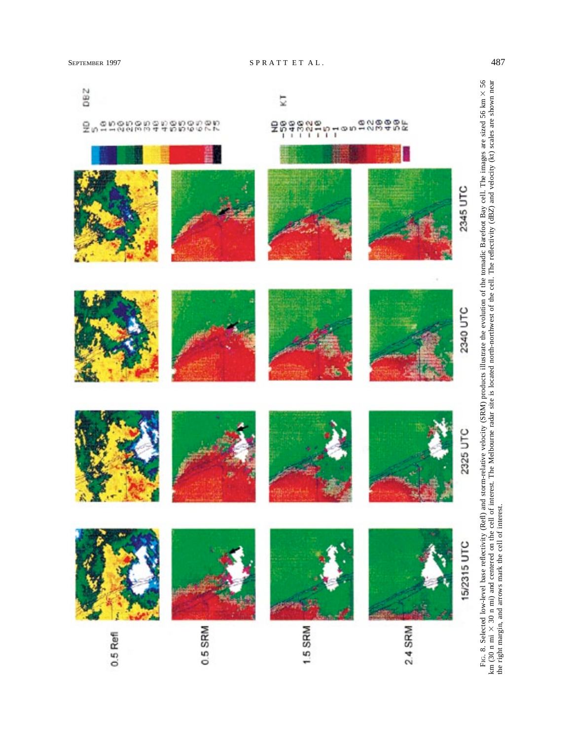

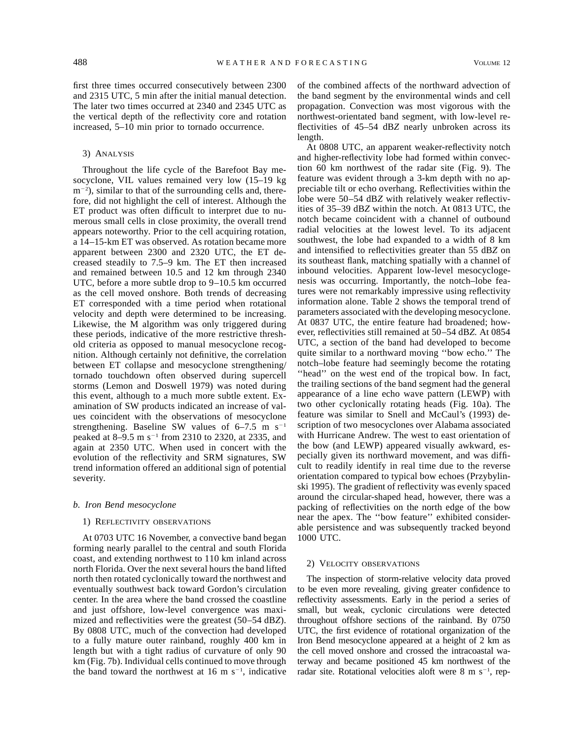first three times occurred consecutively between 2300 and 2315 UTC, 5 min after the initial manual detection. The later two times occurred at 2340 and 2345 UTC as the vertical depth of the reflectivity core and rotation increased, 5–10 min prior to tornado occurrence.

## 3) ANALYSIS

Throughout the life cycle of the Barefoot Bay mesocyclone, VIL values remained very low (15–19 kg  $m^{-2}$ ), similar to that of the surrounding cells and, therefore, did not highlight the cell of interest. Although the ET product was often difficult to interpret due to numerous small cells in close proximity, the overall trend appears noteworthy. Prior to the cell acquiring rotation, a 14–15-km ET was observed. As rotation became more apparent between 2300 and 2320 UTC, the ET decreased steadily to 7.5–9 km. The ET then increased and remained between 10.5 and 12 km through 2340 UTC, before a more subtle drop to 9–10.5 km occurred as the cell moved onshore. Both trends of decreasing ET corresponded with a time period when rotational velocity and depth were determined to be increasing. Likewise, the M algorithm was only triggered during these periods, indicative of the more restrictive threshold criteria as opposed to manual mesocyclone recognition. Although certainly not definitive, the correlation between ET collapse and mesocyclone strengthening/ tornado touchdown often observed during supercell storms (Lemon and Doswell 1979) was noted during this event, although to a much more subtle extent. Examination of SW products indicated an increase of values coincident with the observations of mesocyclone strengthening. Baseline SW values of  $6-7.5$  m s<sup>-1</sup> peaked at 8–9.5 m s<sup>-1</sup> from 2310 to 2320, at 2335, and again at 2350 UTC. When used in concert with the evolution of the reflectivity and SRM signatures, SW trend information offered an additional sign of potential severity.

### *b. Iron Bend mesocyclone*

## 1) REFLECTIVITY OBSERVATIONS

At 0703 UTC 16 November, a convective band began forming nearly parallel to the central and south Florida coast, and extending northwest to 110 km inland across north Florida. Over the next several hours the band lifted north then rotated cyclonically toward the northwest and eventually southwest back toward Gordon's circulation center. In the area where the band crossed the coastline and just offshore, low-level convergence was maximized and reflectivities were the greatest (50–54 dB*Z*). By 0808 UTC, much of the convection had developed to a fully mature outer rainband, roughly 400 km in length but with a tight radius of curvature of only 90 km (Fig. 7b). Individual cells continued to move through the band toward the northwest at  $16 \text{ m s}^{-1}$ , indicative

of the combined affects of the northward advection of the band segment by the environmental winds and cell propagation. Convection was most vigorous with the northwest-orientated band segment, with low-level reflectivities of 45–54 dB*Z* nearly unbroken across its length.

At 0808 UTC, an apparent weaker-reflectivity notch and higher-reflectivity lobe had formed within convection 60 km northwest of the radar site (Fig. 9). The feature was evident through a 3-km depth with no appreciable tilt or echo overhang. Reflectivities within the lobe were 50–54 dB*Z* with relatively weaker reflectivities of 35–39 dB*Z* within the notch. At 0813 UTC, the notch became coincident with a channel of outbound radial velocities at the lowest level. To its adjacent southwest, the lobe had expanded to a width of 8 km and intensified to reflectivities greater than 55 dB*Z* on its southeast flank, matching spatially with a channel of inbound velocities. Apparent low-level mesocyclogenesis was occurring. Importantly, the notch–lobe features were not remarkably impressive using reflectivity information alone. Table 2 shows the temporal trend of parameters associated with the developing mesocyclone. At 0837 UTC, the entire feature had broadened; however, reflectivities still remained at 50–54 dB*Z.* At 0854 UTC, a section of the band had developed to become quite similar to a northward moving ''bow echo.'' The notch–lobe feature had seemingly become the rotating "head" on the west end of the tropical bow. In fact, the trailing sections of the band segment had the general appearance of a line echo wave pattern (LEWP) with two other cyclonically rotating heads (Fig. 10a). The feature was similar to Snell and McCaul's (1993) description of two mesocyclones over Alabama associated with Hurricane Andrew. The west to east orientation of the bow (and LEWP) appeared visually awkward, especially given its northward movement, and was difficult to readily identify in real time due to the reverse orientation compared to typical bow echoes (Przybylinski 1995). The gradient of reflectivity was evenly spaced around the circular-shaped head, however, there was a packing of reflectivities on the north edge of the bow near the apex. The ''bow feature'' exhibited considerable persistence and was subsequently tracked beyond 1000 UTC.

#### 2) VELOCITY OBSERVATIONS

The inspection of storm-relative velocity data proved to be even more revealing, giving greater confidence to reflectivity assessments. Early in the period a series of small, but weak, cyclonic circulations were detected throughout offshore sections of the rainband. By 0750 UTC, the first evidence of rotational organization of the Iron Bend mesocyclone appeared at a height of 2 km as the cell moved onshore and crossed the intracoastal waterway and became positioned 45 km northwest of the radar site. Rotational velocities aloft were  $8 \text{ m s}^{-1}$ , rep-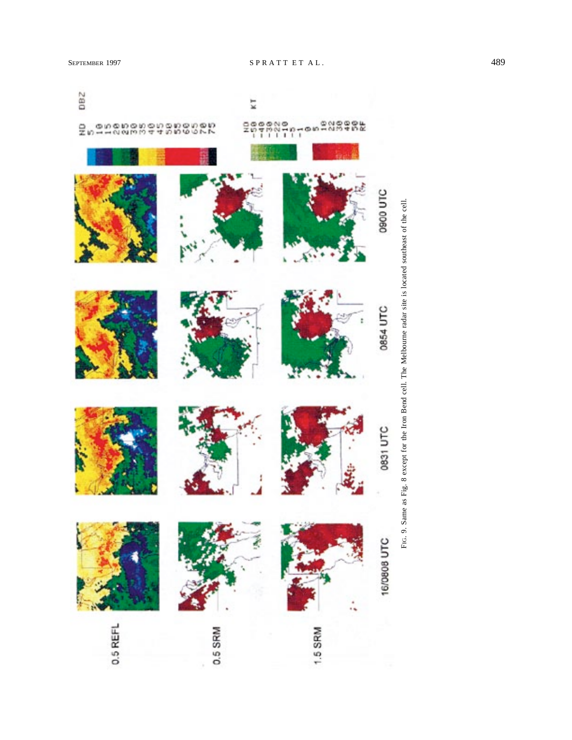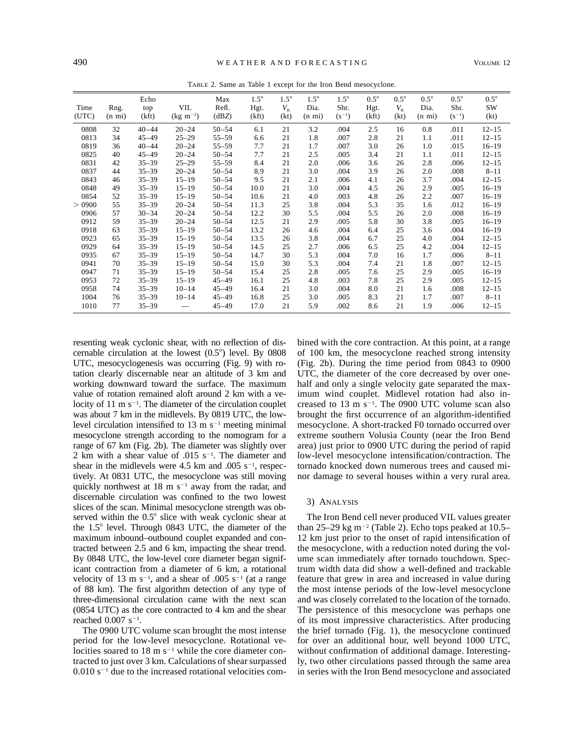|  |  |  |  |  |  |  |  |  | TABLE 2. Same as Table 1 except for the Iron Bend mesocyclone. |  |
|--|--|--|--|--|--|--|--|--|----------------------------------------------------------------|--|
|--|--|--|--|--|--|--|--|--|----------------------------------------------------------------|--|

| Time<br>(UTC) | Rng.<br>$(n \text{ mi})$ | Echo<br>top<br>(kft) | VIL<br>$(kg \; m^{-2})$ | Max<br>Refl.<br>(dBZ) | $1.5^\circ$<br>Hgt.<br>(kft) | $1.5^\circ$<br>$V_{R}$<br>(kt) | $1.5^\circ$<br>Dia.<br>$(n \text{ mi})$ | $1.5^\circ$<br>Shr.<br>$(s^{-1})$ | $0.5^\circ$<br>Hgt.<br>(kft) | $0.5^{\circ}$<br>$V_{R}$<br>(kt) | $0.5^\circ$<br>Dia.<br>$(n \text{ mi})$ | $0.5^{\circ}$<br>Shr.<br>$(s^{-1})$ | $0.5^\circ$<br>SW<br>(kt) |
|---------------|--------------------------|----------------------|-------------------------|-----------------------|------------------------------|--------------------------------|-----------------------------------------|-----------------------------------|------------------------------|----------------------------------|-----------------------------------------|-------------------------------------|---------------------------|
| 0808          | 32                       | $40 - 44$            | $20 - 24$               | $50 - 54$             | 6.1                          | 21                             | 3.2                                     | .004                              | 2.5                          | 16                               | 0.8                                     | .011                                | $12 - 15$                 |
| 0813          | 34                       | $45 - 49$            | $25 - 29$               | $55 - 59$             | 6.6                          | 21                             | 1.8                                     | .007                              | 2.8                          | 21                               | 1.1                                     | .011                                | $12 - 15$                 |
| 0819          | 36                       | $40 - 44$            | $20 - 24$               | $55 - 59$             | 7.7                          | 21                             | 1.7                                     | .007                              | 3.0                          | 26                               | 1.0                                     | .015                                | $16 - 19$                 |
| 0825          | 40                       | $45 - 49$            | $20 - 24$               | $50 - 54$             | 7.7                          | 21                             | 2.5                                     | .005                              | 3.4                          | 21                               | 1.1                                     | .011                                | $12 - 15$                 |
| 0831          | 42                       | $35 - 39$            | $25 - 29$               | $55 - 59$             | 8.4                          | 21                             | 2.0                                     | .006                              | 3.6                          | 26                               | 2.8                                     | .006                                | $12 - 15$                 |
| 0837          | 44                       | $35 - 39$            | $20 - 24$               | $50 - 54$             | 8.9                          | 21                             | 3.0                                     | .004                              | 3.9                          | 26                               | 2.0                                     | .008                                | $8 - 11$                  |
| 0843          | 46                       | $35 - 39$            | $15 - 19$               | $50 - 54$             | 9.5                          | 21                             | 2.1                                     | .006                              | 4.1                          | 26                               | 3.7                                     | .004                                | $12 - 15$                 |
| 0848          | 49                       | $35 - 39$            | $15 - 19$               | $50 - 54$             | 10.0                         | 21                             | 3.0                                     | .004                              | 4.5                          | 26                               | 2.9                                     | .005                                | $16 - 19$                 |
| 0854          | 52                       | $35 - 39$            | $15 - 19$               | $50 - 54$             | 10.6                         | 21                             | 4.0                                     | .003                              | 4.8                          | 26                               | 2.2                                     | .007                                | $16 - 19$                 |
| > 0900        | 55                       | $35 - 39$            | $20 - 24$               | $50 - 54$             | 11.3                         | 25                             | 3.8                                     | .004                              | 5.3                          | 35                               | 1.6                                     | .012                                | $16 - 19$                 |
| 0906          | 57                       | $30 - 34$            | $20 - 24$               | $50 - 54$             | 12.2                         | 30                             | 5.5                                     | .004                              | 5.5                          | 26                               | 2.0                                     | .008                                | $16 - 19$                 |
| 0912          | 59                       | $35 - 39$            | $20 - 24$               | $50 - 54$             | 12.5                         | 21                             | 2.9                                     | .005                              | 5.8                          | 30                               | 3.8                                     | .005                                | $16 - 19$                 |
| 0918          | 63                       | $35 - 39$            | $15 - 19$               | $50 - 54$             | 13.2                         | 26                             | 4.6                                     | .004                              | 6.4                          | 25                               | 3.6                                     | .004                                | $16 - 19$                 |
| 0923          | 65                       | $35 - 39$            | $15 - 19$               | $50 - 54$             | 13.5                         | 26                             | 3.8                                     | .004                              | 6.7                          | 25                               | 4.0                                     | .004                                | $12 - 15$                 |
| 0929          | 64                       | $35 - 39$            | $15 - 19$               | $50 - 54$             | 14.5                         | 25                             | 2.7                                     | .006                              | 6.5                          | 25                               | 4.2                                     | .004                                | $12 - 15$                 |
| 0935          | 67                       | $35 - 39$            | $15 - 19$               | $50 - 54$             | 14.7                         | 30                             | 5.3                                     | .004                              | 7.0                          | 16                               | 1.7                                     | .006                                | $8 - 11$                  |
| 0941          | 70                       | $35 - 39$            | $15 - 19$               | $50 - 54$             | 15.0                         | 30                             | 5.3                                     | .004                              | 7.4                          | 21                               | 1.8                                     | .007                                | $12 - 15$                 |
| 0947          | 71                       | $35 - 39$            | $15 - 19$               | $50 - 54$             | 15.4                         | 25                             | 2.8                                     | .005                              | 7.6                          | 25                               | 2.9                                     | .005                                | $16 - 19$                 |
| 0953          | 72                       | $35 - 39$            | $15 - 19$               | $45 - 49$             | 16.1                         | 25                             | 4.8                                     | .003                              | 7.8                          | 25                               | 2.9                                     | .005                                | $12 - 15$                 |
| 0958          | 74                       | $35 - 39$            | $10 - 14$               | $45 - 49$             | 16.4                         | 21                             | 3.0                                     | .004                              | 8.0                          | 21                               | 1.6                                     | .008                                | $12 - 15$                 |
| 1004          | 76                       | $35 - 39$            | $10 - 14$               | $45 - 49$             | 16.8                         | 25                             | 3.0                                     | .005                              | 8.3                          | 21                               | 1.7                                     | .007                                | $8 - 11$                  |
| 1010          | 77                       | $35 - 39$            |                         | $45 - 49$             | 17.0                         | 21                             | 5.9                                     | .002                              | 8.6                          | 21                               | 1.9                                     | .006                                | $12 - 15$                 |

resenting weak cyclonic shear, with no reflection of discernable circulation at the lowest  $(0.5^{\circ})$  level. By 0808 UTC, mesocyclogenesis was occurring (Fig. 9) with rotation clearly discernable near an altitude of 3 km and working downward toward the surface. The maximum value of rotation remained aloft around 2 km with a velocity of  $11 \text{ m s}^{-1}$ . The diameter of the circulation couplet was about 7 km in the midlevels. By 0819 UTC, the lowlevel circulation intensified to  $13 \text{ m s}^{-1}$  meeting minimal mesocyclone strength according to the nomogram for a range of 67 km (Fig. 2b). The diameter was slightly over 2 km with a shear value of  $.015 \text{ s}^{-1}$ . The diameter and shear in the midlevels were 4.5 km and .005  $s^{-1}$ , respectively. At 0831 UTC, the mesocyclone was still moving quickly northwest at 18 m  $s^{-1}$  away from the radar, and discernable circulation was confined to the two lowest slices of the scan. Minimal mesocyclone strength was observed within the  $0.5^{\circ}$  slice with weak cyclonic shear at the  $1.5^{\circ}$  level. Through 0843 UTC, the diameter of the maximum inbound–outbound couplet expanded and contracted between 2.5 and 6 km, impacting the shear trend. By 0848 UTC, the low-level core diameter began significant contraction from a diameter of 6 km, a rotational velocity of 13 m  $s^{-1}$ , and a shear of .005  $s^{-1}$  (at a range of 88 km). The first algorithm detection of any type of three-dimensional circulation came with the next scan (0854 UTC) as the core contracted to 4 km and the shear reached  $0.007 \text{ s}^{-1}$ .

The 0900 UTC volume scan brought the most intense period for the low-level mesocyclone. Rotational velocities soared to 18 m  $s^{-1}$  while the core diameter contracted to just over 3 km. Calculations of shear surpassed  $0.010$  s<sup>-1</sup> due to the increased rotational velocities com-

bined with the core contraction. At this point, at a range of 100 km, the mesocyclone reached strong intensity (Fig. 2b). During the time period from 0843 to 0900 UTC, the diameter of the core decreased by over onehalf and only a single velocity gate separated the maximum wind couplet. Midlevel rotation had also increased to  $13 \text{ m s}^{-1}$ . The 0900 UTC volume scan also brought the first occurrence of an algorithm-identified mesocyclone. A short-tracked F0 tornado occurred over extreme southern Volusia County (near the Iron Bend area) just prior to 0900 UTC during the period of rapid low-level mesocyclone intensification/contraction. The tornado knocked down numerous trees and caused minor damage to several houses within a very rural area.

#### 3) ANALYSIS

The Iron Bend cell never produced VIL values greater than 25–29 kg m<sup>-2</sup> (Table 2). Echo tops peaked at  $10.5-$ 12 km just prior to the onset of rapid intensification of the mesocyclone, with a reduction noted during the volume scan immediately after tornado touchdown. Spectrum width data did show a well-defined and trackable feature that grew in area and increased in value during the most intense periods of the low-level mesocyclone and was closely correlated to the location of the tornado. The persistence of this mesocyclone was perhaps one of its most impressive characteristics. After producing the brief tornado (Fig. 1), the mesocyclone continued for over an additional hour, well beyond 1000 UTC, without confirmation of additional damage. Interestingly, two other circulations passed through the same area in series with the Iron Bend mesocyclone and associated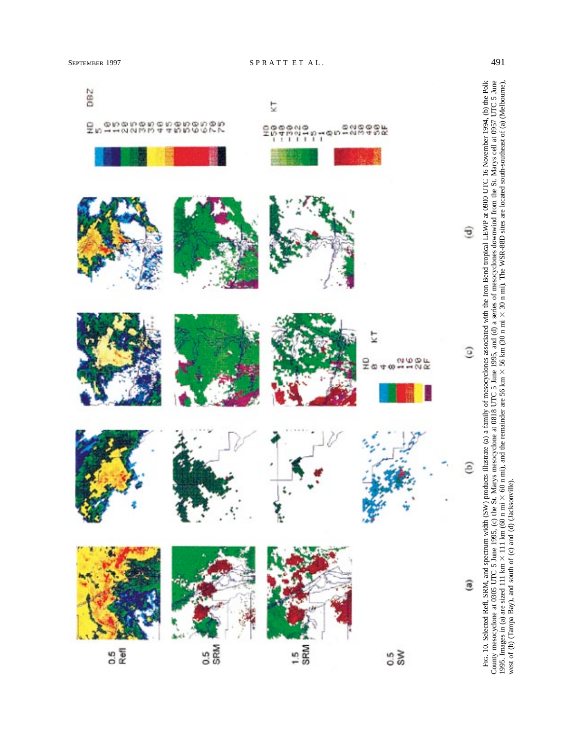west of (b) (Tampa Bay), and south of (c) and (d) (Jacksonville).

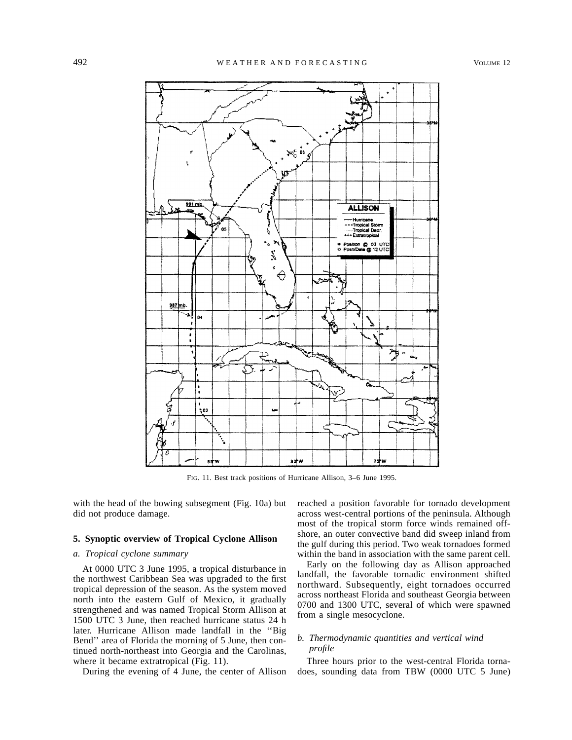

FIG. 11. Best track positions of Hurricane Allison, 3–6 June 1995.

with the head of the bowing subsegment (Fig. 10a) but did not produce damage.

# **5. Synoptic overview of Tropical Cyclone Allison**

## *a. Tropical cyclone summary*

At 0000 UTC 3 June 1995, a tropical disturbance in the northwest Caribbean Sea was upgraded to the first tropical depression of the season. As the system moved north into the eastern Gulf of Mexico, it gradually strengthened and was named Tropical Storm Allison at 1500 UTC 3 June, then reached hurricane status 24 h later. Hurricane Allison made landfall in the ''Big Bend'' area of Florida the morning of 5 June, then continued north-northeast into Georgia and the Carolinas, where it became extratropical (Fig. 11).

During the evening of 4 June, the center of Allison

reached a position favorable for tornado development across west-central portions of the peninsula. Although most of the tropical storm force winds remained offshore, an outer convective band did sweep inland from the gulf during this period. Two weak tornadoes formed within the band in association with the same parent cell.

Early on the following day as Allison approached landfall, the favorable tornadic environment shifted northward. Subsequently, eight tornadoes occurred across northeast Florida and southeast Georgia between 0700 and 1300 UTC, several of which were spawned from a single mesocyclone.

# *b. Thermodynamic quantities and vertical wind profile*

Three hours prior to the west-central Florida tornadoes, sounding data from TBW (0000 UTC 5 June)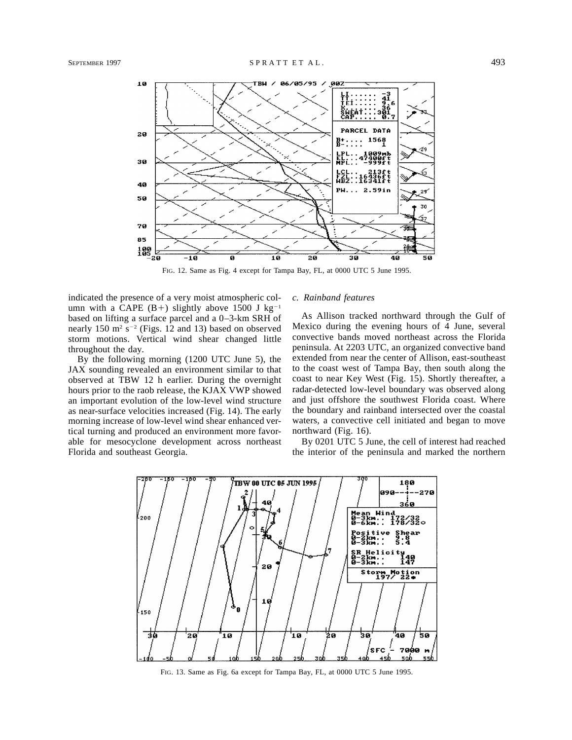

FIG. 12. Same as Fig. 4 except for Tampa Bay, FL, at 0000 UTC 5 June 1995.

indicated the presence of a very moist atmospheric column with a CAPE (B+) slightly above 1500 J kg<sup>-1</sup> based on lifting a surface parcel and a 0–3-km SRH of nearly 150  $m^2 s^{-2}$  (Figs. 12 and 13) based on observed storm motions. Vertical wind shear changed little throughout the day.

By the following morning (1200 UTC June 5), the JAX sounding revealed an environment similar to that observed at TBW 12 h earlier. During the overnight hours prior to the raob release, the KJAX VWP showed an important evolution of the low-level wind structure as near-surface velocities increased (Fig. 14). The early morning increase of low-level wind shear enhanced vertical turning and produced an environment more favorable for mesocyclone development across northeast Florida and southeast Georgia.

### *c. Rainband features*

As Allison tracked northward through the Gulf of Mexico during the evening hours of 4 June, several convective bands moved northeast across the Florida peninsula. At 2203 UTC, an organized convective band extended from near the center of Allison, east-southeast to the coast west of Tampa Bay, then south along the coast to near Key West (Fig. 15). Shortly thereafter, a radar-detected low-level boundary was observed along and just offshore the southwest Florida coast. Where the boundary and rainband intersected over the coastal waters, a convective cell initiated and began to move northward (Fig. 16).

By 0201 UTC 5 June, the cell of interest had reached the interior of the peninsula and marked the northern



FIG. 13. Same as Fig. 6a except for Tampa Bay, FL, at 0000 UTC 5 June 1995.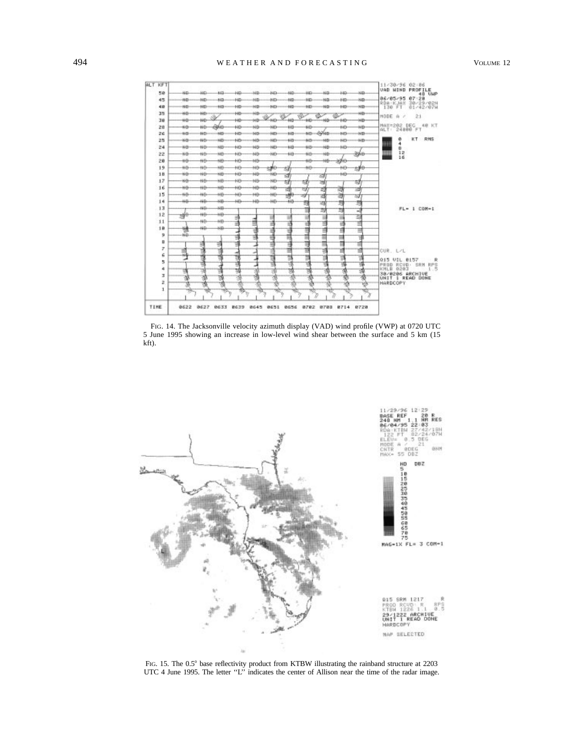

FIG. 14. The Jacksonville velocity azimuth display (VAD) wind profile (VWP) at 0720 UTC 5 June 1995 showing an increase in low-level wind shear between the surface and 5 km (15 kft).



FIG. 15. The 0.5° base reflectivity product from KTBW illustrating the rainband structure at 2203 UTC 4 June 1995. The letter "L" indicates the center of Allison near the time of the radar image.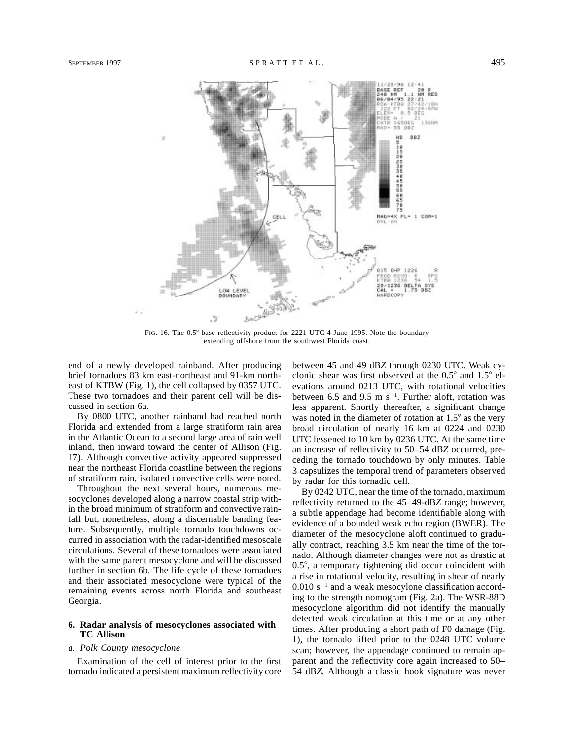

FIG. 16. The  $0.5^{\circ}$  base reflectivity product for 2221 UTC 4 June 1995. Note the boundary extending offshore from the southwest Florida coast.

end of a newly developed rainband. After producing brief tornadoes 83 km east-northeast and 91-km northeast of KTBW (Fig. 1), the cell collapsed by 0357 UTC. These two tornadoes and their parent cell will be discussed in section 6a.

By 0800 UTC, another rainband had reached north Florida and extended from a large stratiform rain area in the Atlantic Ocean to a second large area of rain well inland, then inward toward the center of Allison (Fig. 17). Although convective activity appeared suppressed near the northeast Florida coastline between the regions of stratiform rain, isolated convective cells were noted.

Throughout the next several hours, numerous mesocyclones developed along a narrow coastal strip within the broad minimum of stratiform and convective rainfall but, nonetheless, along a discernable banding feature. Subsequently, multiple tornado touchdowns occurred in association with the radar-identified mesoscale circulations. Several of these tornadoes were associated with the same parent mesocyclone and will be discussed further in section 6b. The life cycle of these tornadoes and their associated mesocyclone were typical of the remaining events across north Florida and southeast Georgia.

## **6. Radar analysis of mesocyclones associated with TC Allison**

## *a. Polk County mesocyclone*

Examination of the cell of interest prior to the first tornado indicated a persistent maximum reflectivity core between 45 and 49 dB*Z* through 0230 UTC. Weak cyclonic shear was first observed at the  $0.5^{\circ}$  and  $1.5^{\circ}$  elevations around 0213 UTC, with rotational velocities between 6.5 and 9.5 m  $s^{-1}$ . Further aloft, rotation was less apparent. Shortly thereafter, a significant change was noted in the diameter of rotation at  $1.5^{\circ}$  as the very broad circulation of nearly 16 km at 0224 and 0230 UTC lessened to 10 km by 0236 UTC. At the same time an increase of reflectivity to 50–54 dB*Z* occurred, preceding the tornado touchdown by only minutes. Table 3 capsulizes the temporal trend of parameters observed by radar for this tornadic cell.

By 0242 UTC, near the time of the tornado, maximum reflectivity returned to the 45–49-dB*Z* range; however, a subtle appendage had become identifiable along with evidence of a bounded weak echo region (BWER). The diameter of the mesocyclone aloft continued to gradually contract, reaching 3.5 km near the time of the tornado. Although diameter changes were not as drastic at  $0.5^\circ$ , a temporary tightening did occur coincident with a rise in rotational velocity, resulting in shear of nearly  $0.010$  s<sup>-1</sup> and a weak mesocylone classification according to the strength nomogram (Fig. 2a). The WSR-88D mesocyclone algorithm did not identify the manually detected weak circulation at this time or at any other times. After producing a short path of F0 damage (Fig. 1), the tornado lifted prior to the 0248 UTC volume scan; however, the appendage continued to remain apparent and the reflectivity core again increased to 50– 54 dB*Z.* Although a classic hook signature was never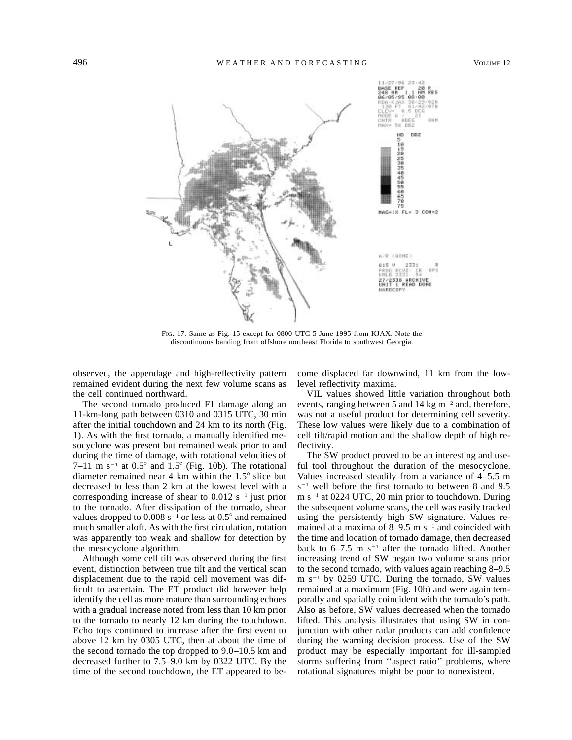

FIG. 17. Same as Fig. 15 except for 0800 UTC 5 June 1995 from KJAX. Note the discontinuous banding from offshore northeast Florida to southwest Georgia.

observed, the appendage and high-reflectivity pattern remained evident during the next few volume scans as the cell continued northward.

The second tornado produced F1 damage along an 11-km-long path between 0310 and 0315 UTC, 30 min after the initial touchdown and 24 km to its north (Fig. 1). As with the first tornado, a manually identified mesocyclone was present but remained weak prior to and during the time of damage, with rotational velocities of 7–11 m s<sup>-1</sup> at  $0.5^{\circ}$  and  $1.5^{\circ}$  (Fig. 10b). The rotational diameter remained near 4 km within the  $1.5^{\circ}$  slice but decreased to less than 2 km at the lowest level with a corresponding increase of shear to  $0.012$  s<sup>-1</sup> just prior to the tornado. After dissipation of the tornado, shear values dropped to  $0.008$  s<sup>-1</sup> or less at  $0.5^{\circ}$  and remained much smaller aloft. As with the first circulation, rotation was apparently too weak and shallow for detection by the mesocyclone algorithm.

Although some cell tilt was observed during the first event, distinction between true tilt and the vertical scan displacement due to the rapid cell movement was difficult to ascertain. The ET product did however help identify the cell as more mature than surrounding echoes with a gradual increase noted from less than 10 km prior to the tornado to nearly 12 km during the touchdown. Echo tops continued to increase after the first event to above 12 km by 0305 UTC, then at about the time of the second tornado the top dropped to 9.0–10.5 km and decreased further to 7.5–9.0 km by 0322 UTC. By the time of the second touchdown, the ET appeared to become displaced far downwind, 11 km from the lowlevel reflectivity maxima.

VIL values showed little variation throughout both events, ranging between 5 and 14 kg  $m^{-2}$  and, therefore, was not a useful product for determining cell severity. These low values were likely due to a combination of cell tilt/rapid motion and the shallow depth of high reflectivity.

The SW product proved to be an interesting and useful tool throughout the duration of the mesocyclone. Values increased steadily from a variance of 4–5.5 m  $s^{-1}$  well before the first tornado to between 8 and 9.5  $m s^{-1}$  at 0224 UTC, 20 min prior to touchdown. During the subsequent volume scans, the cell was easily tracked using the persistently high SW signature. Values remained at a maxima of  $8-9.5$  m s<sup>-1</sup> and coincided with the time and location of tornado damage, then decreased back to  $6-7.5$  m s<sup>-1</sup> after the tornado lifted. Another increasing trend of SW began two volume scans prior to the second tornado, with values again reaching 8–9.5  $m s<sup>-1</sup>$  by 0259 UTC. During the tornado, SW values remained at a maximum (Fig. 10b) and were again temporally and spatially coincident with the tornado's path. Also as before, SW values decreased when the tornado lifted. This analysis illustrates that using SW in conjunction with other radar products can add confidence during the warning decision process. Use of the SW product may be especially important for ill-sampled storms suffering from ''aspect ratio'' problems, where rotational signatures might be poor to nonexistent.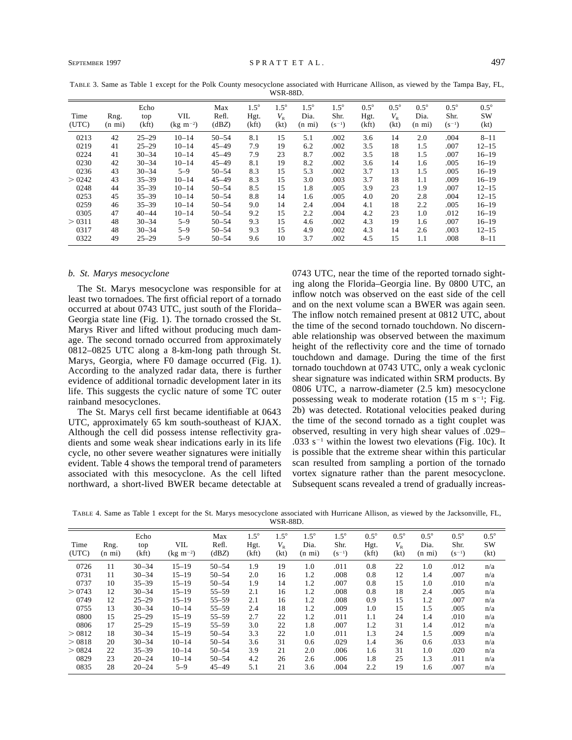|               |                          |                      |                         |                       |                              | <b>WSR-88D.</b>                |                                         |                                   |                              |                                  |                                         |                                   |                             |
|---------------|--------------------------|----------------------|-------------------------|-----------------------|------------------------------|--------------------------------|-----------------------------------------|-----------------------------------|------------------------------|----------------------------------|-----------------------------------------|-----------------------------------|-----------------------------|
| Time<br>(UTC) | Rng.<br>$(n \text{ mi})$ | Echo<br>top<br>(kft) | VIL<br>$(kg \; m^{-2})$ | Max<br>Refl.<br>(dBZ) | $1.5^\circ$<br>Hgt.<br>(kft) | $1.5^\circ$<br>$V_{R}$<br>(kt) | $1.5^\circ$<br>Dia.<br>$(n \text{ mi})$ | $1.5^\circ$<br>Shr.<br>$(S^{-1})$ | $0.5^\circ$<br>Hgt.<br>(kft) | $0.5^{\circ}$<br>$V_{R}$<br>(kt) | $0.5^\circ$<br>Dia.<br>$(n \text{ mi})$ | $0.5^\circ$<br>Shr.<br>$(s^{-1})$ | $0.5^{\circ}$<br>SW<br>(kt) |
| 0213          | 42                       | $25 - 29$            | $10 - 14$               | $50 - 54$             | 8.1                          | 15                             | 5.1                                     | .002                              | 3.6                          | 14                               | 2.0                                     | .004                              | $8 - 11$                    |
| 0219          | 41                       | $25 - 29$            | $10 - 14$               | $45 - 49$             | 7.9                          | 19                             | 6.2                                     | .002                              | 3.5                          | 18                               | 1.5                                     | .007                              | $12 - 15$                   |
| 0224          | 41                       | $30 - 34$            | $10 - 14$               | $45 - 49$             | 7.9                          | 23                             | 8.7                                     | .002                              | 3.5                          | 18                               | 1.5                                     | .007                              | $16 - 19$                   |
| 0230          | 42                       | $30 - 34$            | $10 - 14$               | $45 - 49$             | 8.1                          | 19                             | 8.2                                     | .002                              | 3.6                          | 14                               | 1.6                                     | .005                              | $16 - 19$                   |
| 0236          | 43                       | $30 - 34$            | $5 - 9$                 | $50 - 54$             | 8.3                          | 15                             | 5.3                                     | .002                              | 3.7                          | 13                               | 1.5                                     | .005                              | $16 - 19$                   |
| >0242         | 43                       | $35 - 39$            | $10 - 14$               | $45 - 49$             | 8.3                          | 15                             | 3.0                                     | .003                              | 3.7                          | 18                               | 1.1                                     | .009                              | $16 - 19$                   |
| 0248          | 44                       | $35 - 39$            | $10 - 14$               | $50 - 54$             | 8.5                          | 15                             | 1.8                                     | .005                              | 3.9                          | 23                               | 1.9                                     | .007                              | $12 - 15$                   |
| 0253          | 45                       | $35 - 39$            | $10 - 14$               | $50 - 54$             | 8.8                          | 14                             | 1.6                                     | .005                              | 4.0                          | 20                               | 2.8                                     | .004                              | $12 - 15$                   |
| 0259          | 46                       | $35 - 39$            | $10 - 14$               | $50 - 54$             | 9.0                          | 14                             | 2.4                                     | .004                              | 4.1                          | 18                               | 2.2                                     | .005                              | $16 - 19$                   |
| 0305          | 47                       | $40 - 44$            | $10 - 14$               | $50 - 54$             | 9.2                          | 15                             | 2.2                                     | .004                              | 4.2                          | 23                               | 1.0                                     | .012                              | $16 - 19$                   |
| > 0311        | 48                       | $30 - 34$            | $5 - 9$                 | $50 - 54$             | 9.3                          | 15                             | 4.6                                     | .002                              | 4.3                          | 19                               | 1.6                                     | .007                              | $16 - 19$                   |
| 0317          | 48                       | $30 - 34$            | $5 - 9$                 | $50 - 54$             | 9.3                          | 15                             | 4.9                                     | .002                              | 4.3                          | 14                               | 2.6                                     | .003                              | $12 - 15$                   |
| 0322          | 49                       | $25 - 29$            | $5 - 9$                 | $50 - 54$             | 9.6                          | 10                             | 3.7                                     | .002                              | 4.5                          | 15                               | 1.1                                     | .008                              | $8 - 11$                    |

TABLE 3. Same as Table 1 except for the Polk County mesocyclone associated with Hurricane Allison, as viewed by the Tampa Bay, FL,

#### *b. St. Marys mesocyclone*

The St. Marys mesocyclone was responsible for at least two tornadoes. The first official report of a tornado occurred at about 0743 UTC, just south of the Florida– Georgia state line (Fig. 1). The tornado crossed the St. Marys River and lifted without producing much damage. The second tornado occurred from approximately 0812–0825 UTC along a 8-km-long path through St. Marys, Georgia, where F0 damage occurred (Fig. 1). According to the analyzed radar data, there is further evidence of additional tornadic development later in its life. This suggests the cyclic nature of some TC outer rainband mesocyclones.

The St. Marys cell first became identifiable at 0643 UTC, approximately 65 km south-southeast of KJAX. Although the cell did possess intense reflectivity gradients and some weak shear indications early in its life cycle, no other severe weather signatures were initially evident. Table 4 shows the temporal trend of parameters associated with this mesocyclone. As the cell lifted northward, a short-lived BWER became detectable at 0743 UTC, near the time of the reported tornado sighting along the Florida–Georgia line. By 0800 UTC, an inflow notch was observed on the east side of the cell and on the next volume scan a BWER was again seen. The inflow notch remained present at 0812 UTC, about the time of the second tornado touchdown. No discernable relationship was observed between the maximum height of the reflectivity core and the time of tornado touchdown and damage. During the time of the first tornado touchdown at 0743 UTC, only a weak cyclonic shear signature was indicated within SRM products. By 0806 UTC, a narrow-diameter (2.5 km) mesocyclone possessing weak to moderate rotation  $(15 \text{ m s}^{-1})$ ; Fig. 2b) was detected. Rotational velocities peaked during the time of the second tornado as a tight couplet was observed, resulting in very high shear values of .029– .033  $s^{-1}$  within the lowest two elevations (Fig. 10c). It is possible that the extreme shear within this particular scan resulted from sampling a portion of the tornado vortex signature rather than the parent mesocyclone. Subsequent scans revealed a trend of gradually increas-

TABLE 4. Same as Table 1 except for the St. Marys mesocyclone associated with Hurricane Allison, as viewed by the Jacksonville, FL, WSR-88D.

| Time<br>(UTC) | Rng.<br>$(n \text{ mi})$ | Echo<br>top<br>(kft)   | VIL<br>$(kg \; m^{-2})$ | Max<br>Refl.<br>(dBZ)  | $1.5^\circ$<br>Hgt.<br>(kft) | $1.5^\circ$<br>$V_{R}$<br>(kt) | $1.5^\circ$<br>Dia.<br>$(n \text{ mi})$ | $1.5^\circ$<br>Shr.<br>$(s^{-1})$ | $0.5^\circ$<br>Hgt.<br>(kft) | $0.5^\circ$<br>$V_{R}$<br>(kt) | $0.5^\circ$<br>Dia.<br>$(n \text{ mi})$ | $0.5^\circ$<br>Shr.<br>$(s^{-1})$ | $0.5^{\circ}$<br><b>SW</b><br>(kt) |
|---------------|--------------------------|------------------------|-------------------------|------------------------|------------------------------|--------------------------------|-----------------------------------------|-----------------------------------|------------------------------|--------------------------------|-----------------------------------------|-----------------------------------|------------------------------------|
| 0726<br>0731  | 11<br>11                 | $30 - 34$<br>$30 - 34$ | $15 - 19$<br>$15 - 19$  | $50 - 54$<br>$50 - 54$ | 1.9<br>2.0                   | 19<br>16                       | 1.0<br>1.2                              | .011<br>.008                      | 0.8<br>0.8                   | 22<br>12                       | 1.0<br>1.4                              | .012<br>.007                      | n/a<br>n/a                         |
| 0737          | 10                       | $35 - 39$              | $15 - 19$               | $50 - 54$              | 1.9                          | 14                             | 1.2                                     | .007                              | 0.8                          | 15                             | 1.0                                     | .010                              | n/a                                |
| > 0743        | 12                       | $30 - 34$              | $15 - 19$               | $55 - 59$              | 2.1                          | 16                             | 1.2                                     | .008                              | 0.8                          | 18                             | 2.4                                     | .005                              | n/a                                |
| 0749          | 12                       | $25 - 29$              | $15 - 19$               | $55 - 59$              | 2.1                          | 16                             | 1.2                                     | .008                              | 0.9                          | 15                             | 1.2                                     | .007                              | n/a                                |
| 0755          | 13                       | $30 - 34$              | $10 - 14$               | $55 - 59$              | 2.4                          | 18                             | 1.2                                     | .009                              | 1.0                          | 15                             | 1.5                                     | .005                              | n/a                                |
| 0800          | 15                       | $25 - 29$              | $15 - 19$               | $55 - 59$              | 2.7                          | 22                             | 1.2                                     | .011                              | 1.1                          | 24                             | 1.4                                     | .010                              | n/a                                |
| 0806          | 17                       | $25 - 29$              | $15 - 19$               | $55 - 59$              | 3.0                          | 22                             | 1.8                                     | .007                              | 1.2                          | 31                             | 1.4                                     | .012                              | n/a                                |
| > 0812        | 18                       | $30 - 34$              | $15 - 19$               | $50 - 54$              | 3.3                          | 22                             | 1.0                                     | .011                              | 1.3                          | 24                             | 1.5                                     | .009                              | n/a                                |
| > 0818        | 20                       | $30 - 34$              | $10 - 14$               | $50 - 54$              | 3.6                          | 31                             | 0.6                                     | .029                              | 1.4                          | 36                             | 0.6                                     | .033                              | n/a                                |
| > 0824        | 22                       | $35 - 39$              | $10 - 14$               | $50 - 54$              | 3.9                          | 21                             | 2.0                                     | .006                              | 1.6                          | 31                             | 1.0                                     | .020                              | n/a                                |
| 0829          | 23                       | $20 - 24$              | $10 - 14$               | $50 - 54$              | 4.2                          | 26                             | 2.6                                     | .006                              | 1.8                          | 25                             | 1.3                                     | .011                              | n/a                                |
| 0835          | 28                       | $20 - 24$              | $5 - 9$                 | $45 - 49$              | 5.1                          | 21                             | 3.6                                     | .004                              | 2.2                          | 19                             | 1.6                                     | .007                              | n/a                                |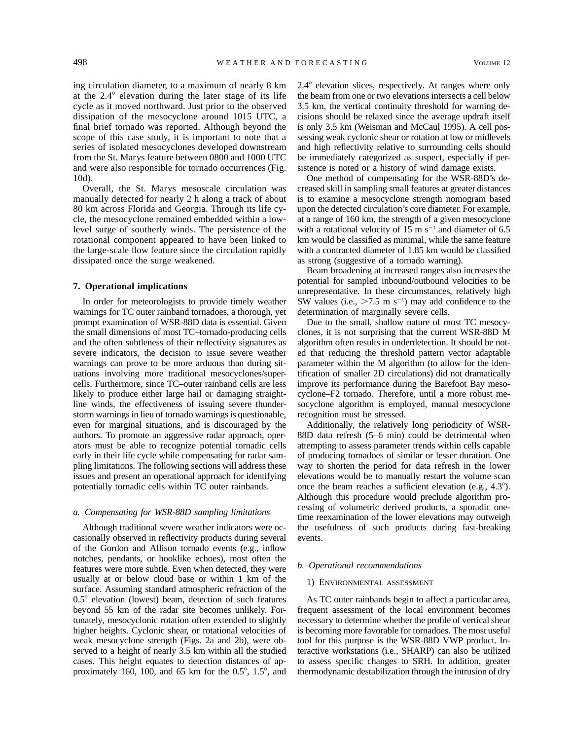ing circulation diameter, to a maximum of nearly 8 km at the  $2.4^{\circ}$  elevation during the later stage of its life cycle as it moved northward. Just prior to the observed dissipation of the mesocyclone around 1015 UTC, a final brief tornado was reported. Although beyond the scope of this case study, it is important to note that a series of isolated mesocyclones developed downstream from the St. Marys feature between 0800 and 1000 UTC and were also responsible for tornado occurrences (Fig. 10d).

Overall, the St. Marys mesoscale circulation was manually detected for nearly 2 h along a track of about 80 km across Florida and Georgia. Through its life cycle, the mesocyclone remained embedded within a lowlevel surge of southerly winds. The persistence of the rotational component appeared to have been linked to the large-scale flow feature since the circulation rapidly dissipated once the surge weakened.

## **7. Operational implications**

In order for meteorologists to provide timely weather warnings for TC outer rainband tornadoes, a thorough, yet prompt examination of WSR-88D data is essential. Given the small dimensions of most TC–tornado-producing cells and the often subtleness of their reflectivity signatures as severe indicators, the decision to issue severe weather warnings can prove to be more arduous than during situations involving more traditional mesocyclones/supercells. Furthermore, since TC–outer rainband cells are less likely to produce either large hail or damaging straightline winds, the effectiveness of issuing severe thunderstorm warnings in lieu of tornado warnings is questionable, even for marginal situations, and is discouraged by the authors. To promote an aggressive radar approach, operators must be able to recognize potential tornadic cells early in their life cycle while compensating for radar sampling limitations. The following sections will address these issues and present an operational approach for identifying potentially tornadic cells within TC outer rainbands.

#### *a. Compensating for WSR-88D sampling limitations*

Although traditional severe weather indicators were occasionally observed in reflectivity products during several of the Gordon and Allison tornado events (e.g., inflow notches, pendants, or hooklike echoes), most often the features were more subtle. Even when detected, they were usually at or below cloud base or within 1 km of the surface. Assuming standard atmospheric refraction of the  $0.5^{\circ}$  elevation (lowest) beam, detection of such features beyond 55 km of the radar site becomes unlikely. Fortunately, mesocyclonic rotation often extended to slightly higher heights. Cyclonic shear, or rotational velocities of weak mesocyclone strength (Figs. 2a and 2b), were observed to a height of nearly 3.5 km within all the studied cases. This height equates to detection distances of approximately 160, 100, and 65 km for the  $0.5^{\circ}$ ,  $1.5^{\circ}$ , and

 $2.4^{\circ}$  elevation slices, respectively. At ranges where only the beam from one or two elevations intersects a cell below 3.5 km, the vertical continuity threshold for warning decisions should be relaxed since the average updraft itself is only 3.5 km (Weisman and McCaul 1995). A cell possessing weak cyclonic shear or rotation at low or midlevels and high reflectivity relative to surrounding cells should be immediately categorized as suspect, especially if persistence is noted or a history of wind damage exists.

One method of compensating for the WSR-88D's decreased skill in sampling small features at greater distances is to examine a mesocyclone strength nomogram based upon the detected circulation's core diameter. For example, at a range of 160 km, the strength of a given mesocyclone with a rotational velocity of 15 m  $s^{-1}$  and diameter of 6.5 km would be classified as minimal, while the same feature with a contracted diameter of 1.85 km would be classified as strong (suggestive of a tornado warning).

Beam broadening at increased ranges also increases the potential for sampled inbound/outbound velocities to be unrepresentative. In these circumstances, relatively high SW values (i.e.,  $>7.5$  m s<sup>-1</sup>) may add confidence to the determination of marginally severe cells.

Due to the small, shallow nature of most TC mesocyclones, it is not surprising that the current WSR-88D M algorithm often results in underdetection. It should be noted that reducing the threshold pattern vector adaptable parameter within the M algorithm (to allow for the identification of smaller 2D circulations) did not dramatically improve its performance during the Barefoot Bay mesocyclone–F2 tornado. Therefore, until a more robust mesocyclone algorithm is employed, manual mesocyclone recognition must be stressed.

Additionally, the relatively long periodicity of WSR-88D data refresh (5–6 min) could be detrimental when attempting to assess parameter trends within cells capable of producing tornadoes of similar or lesser duration. One way to shorten the period for data refresh in the lower elevations would be to manually restart the volume scan once the beam reaches a sufficient elevation (e.g.,  $4.3^{\circ}$ ). Although this procedure would preclude algorithm processing of volumetric derived products, a sporadic onetime reexamination of the lower elevations may outweigh the usefulness of such products during fast-breaking events.

#### *b. Operational recommendations*

#### 1) ENVIRONMENTAL ASSESSMENT

As TC outer rainbands begin to affect a particular area, frequent assessment of the local environment becomes necessary to determine whether the profile of vertical shear is becoming more favorable for tornadoes. The most useful tool for this purpose is the WSR-88D VWP product. Interactive workstations (i.e., SHARP) can also be utilized to assess specific changes to SRH. In addition, greater thermodynamic destabilization through the intrusion of dry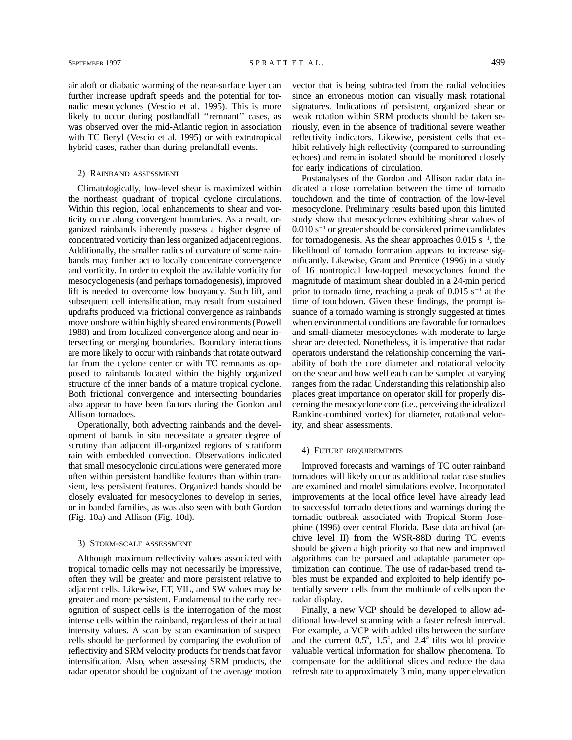air aloft or diabatic warming of the near-surface layer can further increase updraft speeds and the potential for tornadic mesocyclones (Vescio et al. 1995). This is more likely to occur during postlandfall ''remnant'' cases, as was observed over the mid-Atlantic region in association with TC Beryl (Vescio et al. 1995) or with extratropical hybrid cases, rather than during prelandfall events.

## 2) RAINBAND ASSESSMENT

Climatologically, low-level shear is maximized within the northeast quadrant of tropical cyclone circulations. Within this region, local enhancements to shear and vorticity occur along convergent boundaries. As a result, organized rainbands inherently possess a higher degree of concentrated vorticity than less organized adjacent regions. Additionally, the smaller radius of curvature of some rainbands may further act to locally concentrate convergence and vorticity. In order to exploit the available vorticity for mesocyclogenesis (and perhaps tornadogenesis), improved lift is needed to overcome low buoyancy. Such lift, and subsequent cell intensification, may result from sustained updrafts produced via frictional convergence as rainbands move onshore within highly sheared environments (Powell 1988) and from localized convergence along and near intersecting or merging boundaries. Boundary interactions are more likely to occur with rainbands that rotate outward far from the cyclone center or with TC remnants as opposed to rainbands located within the highly organized structure of the inner bands of a mature tropical cyclone. Both frictional convergence and intersecting boundaries also appear to have been factors during the Gordon and Allison tornadoes.

Operationally, both advecting rainbands and the development of bands in situ necessitate a greater degree of scrutiny than adjacent ill-organized regions of stratiform rain with embedded convection. Observations indicated that small mesocyclonic circulations were generated more often within persistent bandlike features than within transient, less persistent features. Organized bands should be closely evaluated for mesocyclones to develop in series, or in banded families, as was also seen with both Gordon (Fig. 10a) and Allison (Fig. 10d).

#### 3) STORM-SCALE ASSESSMENT

Although maximum reflectivity values associated with tropical tornadic cells may not necessarily be impressive, often they will be greater and more persistent relative to adjacent cells. Likewise, ET, VIL, and SW values may be greater and more persistent. Fundamental to the early recognition of suspect cells is the interrogation of the most intense cells within the rainband, regardless of their actual intensity values. A scan by scan examination of suspect cells should be performed by comparing the evolution of reflectivity and SRM velocity products for trends that favor intensification. Also, when assessing SRM products, the radar operator should be cognizant of the average motion vector that is being subtracted from the radial velocities since an erroneous motion can visually mask rotational signatures. Indications of persistent, organized shear or weak rotation within SRM products should be taken seriously, even in the absence of traditional severe weather reflectivity indicators. Likewise, persistent cells that exhibit relatively high reflectivity (compared to surrounding echoes) and remain isolated should be monitored closely for early indications of circulation.

Postanalyses of the Gordon and Allison radar data indicated a close correlation between the time of tornado touchdown and the time of contraction of the low-level mesocyclone. Preliminary results based upon this limited study show that mesocyclones exhibiting shear values of  $0.010$  s<sup>-1</sup> or greater should be considered prime candidates for tornadogenesis. As the shear approaches  $0.015$  s<sup>-1</sup>, the likelihood of tornado formation appears to increase significantly. Likewise, Grant and Prentice (1996) in a study of 16 nontropical low-topped mesocyclones found the magnitude of maximum shear doubled in a 24-min period prior to tornado time, reaching a peak of  $0.015$  s<sup>-1</sup> at the time of touchdown. Given these findings, the prompt issuance of a tornado warning is strongly suggested at times when environmental conditions are favorable for tornadoes and small-diameter mesocyclones with moderate to large shear are detected. Nonetheless, it is imperative that radar operators understand the relationship concerning the variability of both the core diameter and rotational velocity on the shear and how well each can be sampled at varying ranges from the radar. Understanding this relationship also places great importance on operator skill for properly discerning the mesocyclone core (i.e., perceiving the idealized Rankine-combined vortex) for diameter, rotational velocity, and shear assessments.

#### 4) FUTURE REQUIREMENTS

Improved forecasts and warnings of TC outer rainband tornadoes will likely occur as additional radar case studies are examined and model simulations evolve. Incorporated improvements at the local office level have already lead to successful tornado detections and warnings during the tornadic outbreak associated with Tropical Storm Josephine (1996) over central Florida. Base data archival (archive level II) from the WSR-88D during TC events should be given a high priority so that new and improved algorithms can be pursued and adaptable parameter optimization can continue. The use of radar-based trend tables must be expanded and exploited to help identify potentially severe cells from the multitude of cells upon the radar display.

Finally, a new VCP should be developed to allow additional low-level scanning with a faster refresh interval. For example, a VCP with added tilts between the surface and the current  $0.5^{\circ}$ ,  $1.5^{\circ}$ , and  $2.4^{\circ}$  tilts would provide valuable vertical information for shallow phenomena. To compensate for the additional slices and reduce the data refresh rate to approximately 3 min, many upper elevation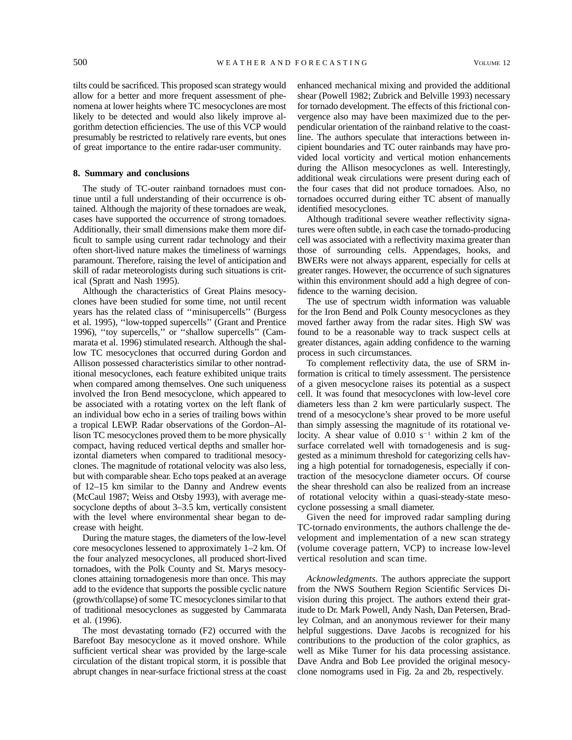tilts could be sacrificed. This proposed scan strategy would allow for a better and more frequent assessment of phenomena at lower heights where TC mesocyclones are most likely to be detected and would also likely improve algorithm detection efficiencies. The use of this VCP would presumably be restricted to relatively rare events, but ones of great importance to the entire radar-user community.

## **8. Summary and conclusions**

The study of TC-outer rainband tornadoes must continue until a full understanding of their occurrence is obtained. Although the majority of these tornadoes are weak, cases have supported the occurrence of strong tornadoes. Additionally, their small dimensions make them more difficult to sample using current radar technology and their often short-lived nature makes the timeliness of warnings paramount. Therefore, raising the level of anticipation and skill of radar meteorologists during such situations is critical (Spratt and Nash 1995).

Although the characteristics of Great Plains mesocyclones have been studied for some time, not until recent years has the related class of ''minisupercells'' (Burgess et al. 1995), ''low-topped supercells'' (Grant and Prentice 1996), ''toy supercells,'' or ''shallow supercells'' (Cammarata et al. 1996) stimulated research. Although the shallow TC mesocyclones that occurred during Gordon and Allison possessed characteristics similar to other nontraditional mesocyclones, each feature exhibited unique traits when compared among themselves. One such uniqueness involved the Iron Bend mesocyclone, which appeared to be associated with a rotating vortex on the left flank of an individual bow echo in a series of trailing bows within a tropical LEWP. Radar observations of the Gordon–Allison TC mesocyclones proved them to be more physically compact, having reduced vertical depths and smaller horizontal diameters when compared to traditional mesocyclones. The magnitude of rotational velocity was also less, but with comparable shear. Echo tops peaked at an average of 12–15 km similar to the Danny and Andrew events (McCaul 1987; Weiss and Otsby 1993), with average mesocyclone depths of about 3–3.5 km, vertically consistent with the level where environmental shear began to decrease with height.

During the mature stages, the diameters of the low-level core mesocyclones lessened to approximately 1–2 km. Of the four analyzed mesocyclones, all produced short-lived tornadoes, with the Polk County and St. Marys mesocyclones attaining tornadogenesis more than once. This may add to the evidence that supports the possible cyclic nature (growth/collapse) of some TC mesocyclones similar to that of traditional mesocyclones as suggested by Cammarata et al. (1996).

The most devastating tornado (F2) occurred with the Barefoot Bay mesocyclone as it moved onshore. While sufficient vertical shear was provided by the large-scale circulation of the distant tropical storm, it is possible that abrupt changes in near-surface frictional stress at the coast

enhanced mechanical mixing and provided the additional shear (Powell 1982; Zubrick and Belville 1993) necessary for tornado development. The effects of this frictional convergence also may have been maximized due to the perpendicular orientation of the rainband relative to the coastline. The authors speculate that interactions between incipient boundaries and TC outer rainbands may have provided local vorticity and vertical motion enhancements during the Allison mesocyclones as well. Interestingly, additional weak circulations were present during each of the four cases that did not produce tornadoes. Also, no tornadoes occurred during either TC absent of manually identified mesocyclones.

Although traditional severe weather reflectivity signatures were often subtle, in each case the tornado-producing cell was associated with a reflectivity maxima greater than those of surrounding cells. Appendages, hooks, and BWERs were not always apparent, especially for cells at greater ranges. However, the occurrence of such signatures within this environment should add a high degree of confidence to the warning decision.

The use of spectrum width information was valuable for the Iron Bend and Polk County mesocyclones as they moved farther away from the radar sites. High SW was found to be a reasonable way to track suspect cells at greater distances, again adding confidence to the warning process in such circumstances.

To complement reflectivity data, the use of SRM information is critical to timely assessment. The persistence of a given mesocyclone raises its potential as a suspect cell. It was found that mesocyclones with low-level core diameters less than 2 km were particularly suspect. The trend of a mesocyclone's shear proved to be more useful than simply assessing the magnitude of its rotational velocity. A shear value of  $0.010 s^{-1}$  within 2 km of the surface correlated well with tornadogenesis and is suggested as a minimum threshold for categorizing cells having a high potential for tornadogenesis, especially if contraction of the mesocyclone diameter occurs. Of course the shear threshold can also be realized from an increase of rotational velocity within a quasi-steady-state mesocyclone possessing a small diameter.

Given the need for improved radar sampling during TC-tornado environments, the authors challenge the development and implementation of a new scan strategy (volume coverage pattern, VCP) to increase low-level vertical resolution and scan time.

*Acknowledgments.* The authors appreciate the support from the NWS Southern Region Scientific Services Division during this project. The authors extend their gratitude to Dr. Mark Powell, Andy Nash, Dan Petersen, Bradley Colman, and an anonymous reviewer for their many helpful suggestions. Dave Jacobs is recognized for his contributions to the production of the color graphics, as well as Mike Turner for his data processing assistance. Dave Andra and Bob Lee provided the original mesocyclone nomograms used in Fig. 2a and 2b, respectively.